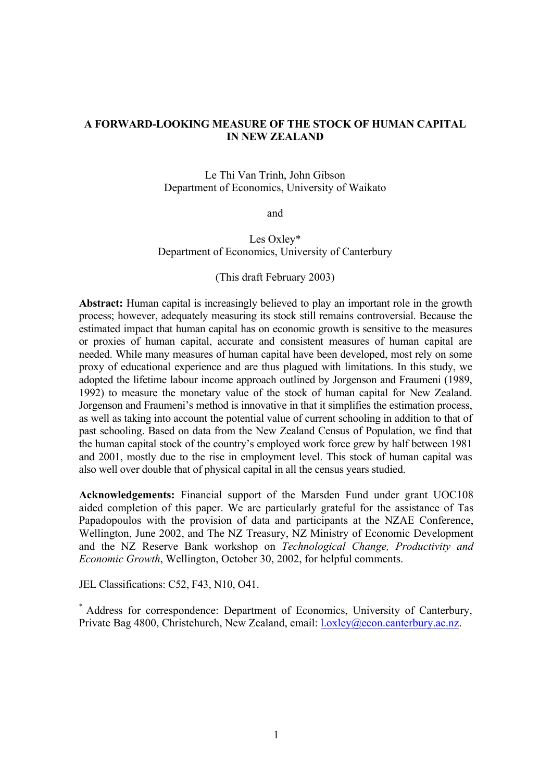#### **A FORWARD-LOOKING MEASURE OF THE STOCK OF HUMAN CAPITAL IN NEW ZEALAND**

Le Thi Van Trinh, John Gibson Department of Economics, University of Waikato

and

#### Les Oxley\* Department of Economics, University of Canterbury

#### (This draft February 2003)

**Abstract:** Human capital is increasingly believed to play an important role in the growth process; however, adequately measuring its stock still remains controversial. Because the estimated impact that human capital has on economic growth is sensitive to the measures or proxies of human capital, accurate and consistent measures of human capital are needed. While many measures of human capital have been developed, most rely on some proxy of educational experience and are thus plagued with limitations. In this study, we adopted the lifetime labour income approach outlined by Jorgenson and Fraumeni (1989, 1992) to measure the monetary value of the stock of human capital for New Zealand. Jorgenson and Fraumeni's method is innovative in that it simplifies the estimation process, as well as taking into account the potential value of current schooling in addition to that of past schooling. Based on data from the New Zealand Census of Population, we find that the human capital stock of the country's employed work force grew by half between 1981 and 2001, mostly due to the rise in employment level. This stock of human capital was also well over double that of physical capital in all the census years studied.

**Acknowledgements:** Financial support of the Marsden Fund under grant UOC108 aided completion of this paper. We are particularly grateful for the assistance of Tas Papadopoulos with the provision of data and participants at the NZAE Conference, Wellington, June 2002, and The NZ Treasury, NZ Ministry of Economic Development and the NZ Reserve Bank workshop on *Technological Change, Productivity and Economic Growth*, Wellington, October 30, 2002, for helpful comments.

JEL Classifications: C52, F43, N10, O41.

\* Address for correspondence: Department of Economics, University of Canterbury, Private Bag 4800, Christchurch, New Zealand, email: l.oxley@econ.canterbury.ac.nz.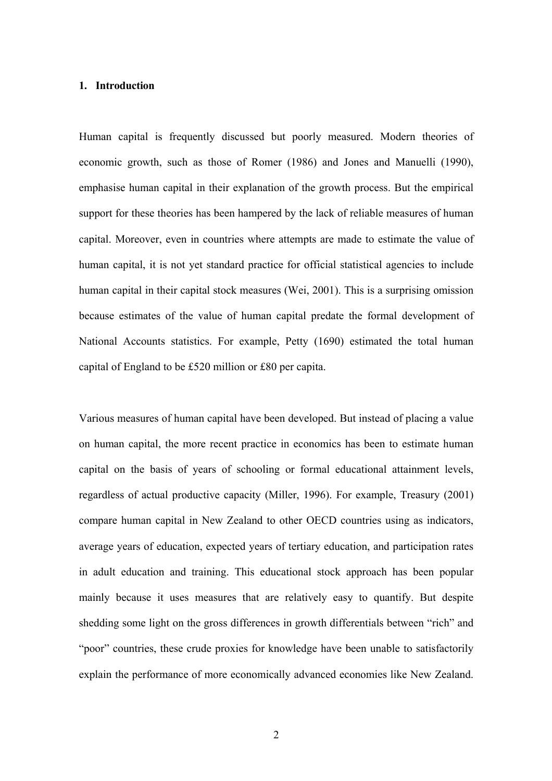#### **1. Introduction**

Human capital is frequently discussed but poorly measured. Modern theories of economic growth, such as those of Romer (1986) and Jones and Manuelli (1990), emphasise human capital in their explanation of the growth process. But the empirical support for these theories has been hampered by the lack of reliable measures of human capital. Moreover, even in countries where attempts are made to estimate the value of human capital, it is not yet standard practice for official statistical agencies to include human capital in their capital stock measures (Wei, 2001). This is a surprising omission because estimates of the value of human capital predate the formal development of National Accounts statistics. For example, Petty (1690) estimated the total human capital of England to be £520 million or £80 per capita.

Various measures of human capital have been developed. But instead of placing a value on human capital, the more recent practice in economics has been to estimate human capital on the basis of years of schooling or formal educational attainment levels, regardless of actual productive capacity (Miller, 1996). For example, Treasury (2001) compare human capital in New Zealand to other OECD countries using as indicators, average years of education, expected years of tertiary education, and participation rates in adult education and training. This educational stock approach has been popular mainly because it uses measures that are relatively easy to quantify. But despite shedding some light on the gross differences in growth differentials between "rich" and "poor" countries, these crude proxies for knowledge have been unable to satisfactorily explain the performance of more economically advanced economies like New Zealand.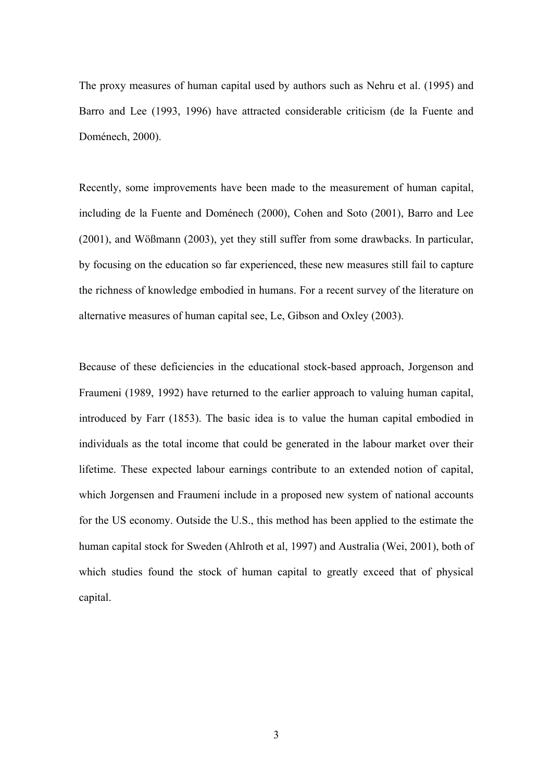The proxy measures of human capital used by authors such as Nehru et al. (1995) and Barro and Lee (1993, 1996) have attracted considerable criticism (de la Fuente and Doménech, 2000).

Recently, some improvements have been made to the measurement of human capital, including de la Fuente and Doménech (2000), Cohen and Soto (2001), Barro and Lee (2001), and Wößmann (2003), yet they still suffer from some drawbacks. In particular, by focusing on the education so far experienced, these new measures still fail to capture the richness of knowledge embodied in humans. For a recent survey of the literature on alternative measures of human capital see, Le, Gibson and Oxley (2003).

Because of these deficiencies in the educational stock-based approach, Jorgenson and Fraumeni (1989, 1992) have returned to the earlier approach to valuing human capital, introduced by Farr (1853). The basic idea is to value the human capital embodied in individuals as the total income that could be generated in the labour market over their lifetime. These expected labour earnings contribute to an extended notion of capital, which Jorgensen and Fraumeni include in a proposed new system of national accounts for the US economy. Outside the U.S., this method has been applied to the estimate the human capital stock for Sweden (Ahlroth et al, 1997) and Australia (Wei, 2001), both of which studies found the stock of human capital to greatly exceed that of physical capital.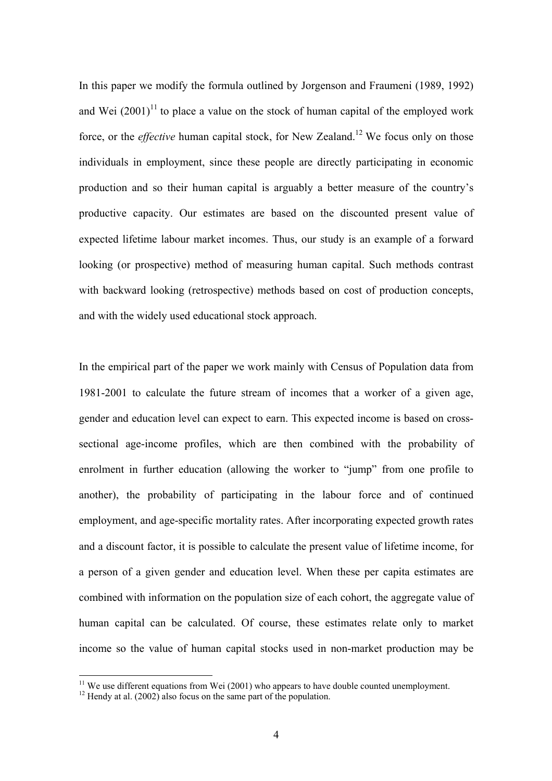In this paper we modify the formula outlined by Jorgenson and Fraumeni (1989, 1992) and Wei  $(2001)^{11}$  to place a value on the stock of human capital of the employed work force, or the *effective* human capital stock, for New Zealand.<sup>12</sup> We focus only on those individuals in employment, since these people are directly participating in economic production and so their human capital is arguably a better measure of the country's productive capacity. Our estimates are based on the discounted present value of expected lifetime labour market incomes. Thus, our study is an example of a forward looking (or prospective) method of measuring human capital. Such methods contrast with backward looking (retrospective) methods based on cost of production concepts, and with the widely used educational stock approach.

In the empirical part of the paper we work mainly with Census of Population data from 1981-2001 to calculate the future stream of incomes that a worker of a given age, gender and education level can expect to earn. This expected income is based on crosssectional age-income profiles, which are then combined with the probability of enrolment in further education (allowing the worker to "jump" from one profile to another), the probability of participating in the labour force and of continued employment, and age-specific mortality rates. After incorporating expected growth rates and a discount factor, it is possible to calculate the present value of lifetime income, for a person of a given gender and education level. When these per capita estimates are combined with information on the population size of each cohort, the aggregate value of human capital can be calculated. Of course, these estimates relate only to market income so the value of human capital stocks used in non-market production may be

 $11$  We use different equations from Wei (2001) who appears to have double counted unemployment.

 $12$  Hendy at al. (2002) also focus on the same part of the population.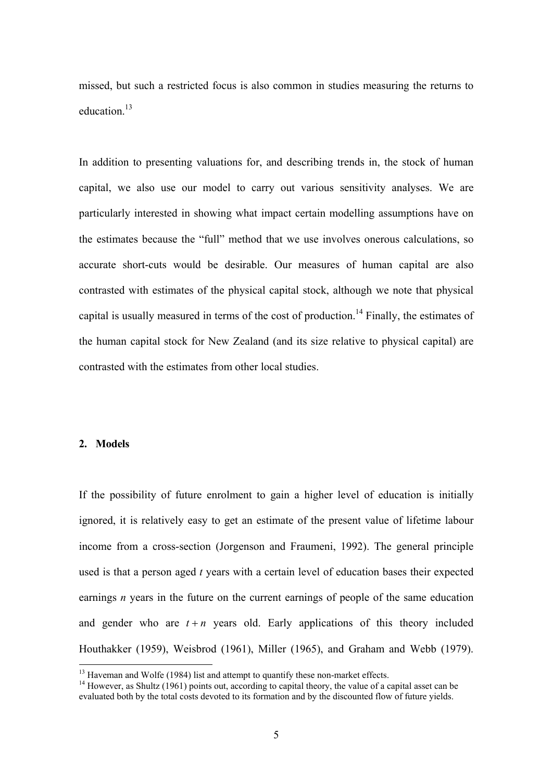missed, but such a restricted focus is also common in studies measuring the returns to education<sup>13</sup>

In addition to presenting valuations for, and describing trends in, the stock of human capital, we also use our model to carry out various sensitivity analyses. We are particularly interested in showing what impact certain modelling assumptions have on the estimates because the "full" method that we use involves onerous calculations, so accurate short-cuts would be desirable. Our measures of human capital are also contrasted with estimates of the physical capital stock, although we note that physical capital is usually measured in terms of the cost of production.<sup>14</sup> Finally, the estimates of the human capital stock for New Zealand (and its size relative to physical capital) are contrasted with the estimates from other local studies.

#### **2. Models**

If the possibility of future enrolment to gain a higher level of education is initially ignored, it is relatively easy to get an estimate of the present value of lifetime labour income from a cross-section (Jorgenson and Fraumeni, 1992). The general principle used is that a person aged *t* years with a certain level of education bases their expected earnings *n* years in the future on the current earnings of people of the same education and gender who are  $t + n$  years old. Early applications of this theory included Houthakker (1959), Weisbrod (1961), Miller (1965), and Graham and Webb (1979).

<sup>&</sup>lt;sup>13</sup> Haveman and Wolfe (1984) list and attempt to quantify these non-market effects.

<sup>&</sup>lt;sup>14</sup> However, as Shultz (1961) points out, according to capital theory, the value of a capital asset can be evaluated both by the total costs devoted to its formation and by the discounted flow of future yields.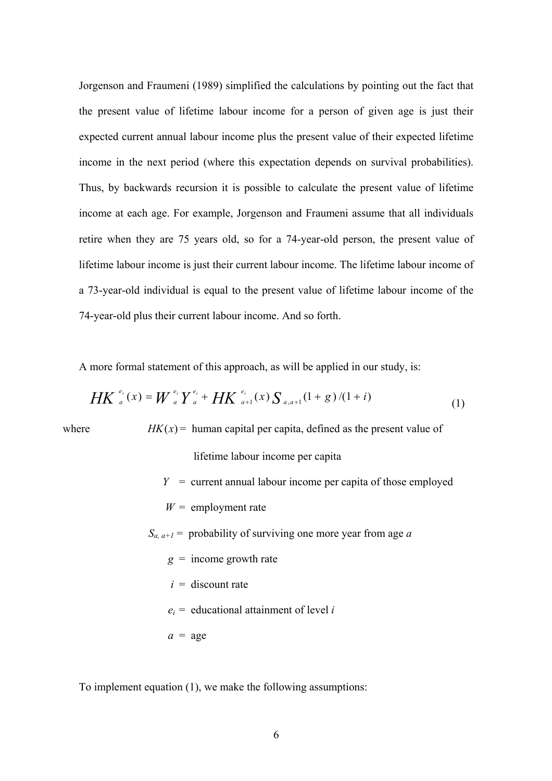Jorgenson and Fraumeni (1989) simplified the calculations by pointing out the fact that the present value of lifetime labour income for a person of given age is just their expected current annual labour income plus the present value of their expected lifetime income in the next period (where this expectation depends on survival probabilities). Thus, by backwards recursion it is possible to calculate the present value of lifetime income at each age. For example, Jorgenson and Fraumeni assume that all individuals retire when they are 75 years old, so for a 74-year-old person, the present value of lifetime labour income is just their current labour income. The lifetime labour income of a 73-year-old individual is equal to the present value of lifetime labour income of the 74-year-old plus their current labour income. And so forth.

A more formal statement of this approach, as will be applied in our study, is:

$$
HK_{a}^{e_i}(x) = W_{a}^{e_i}Y_{a}^{e_i} + HK_{a+1}^{e_i}(x)S_{a,a+1}(1+g)/(1+i)
$$
 (1)

where *HK* $(x)$  = human capital per capita, defined as the present value of

lifetime labour income per capita

- $Y =$  current annual labour income per capita of those employed
- $W =$  employment rate

 $S_{a, a+1}$  = probability of surviving one more year from age *a* 

- $g =$  income growth rate
- $i =$  discount rate
- $e_i$  = educational attainment of level *i*
- $a = a$ ge

To implement equation (1), we make the following assumptions: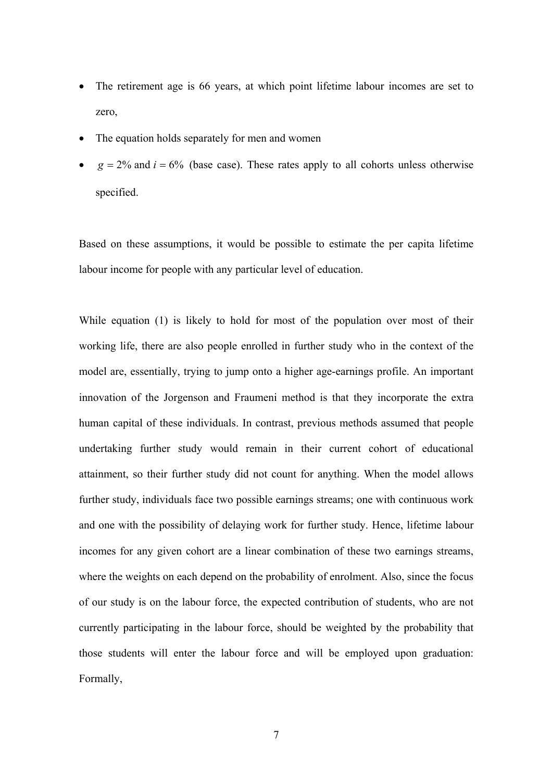- The retirement age is 66 years, at which point lifetime labour incomes are set to zero,
- The equation holds separately for men and women
- $g = 2\%$  and  $i = 6\%$  (base case). These rates apply to all cohorts unless otherwise specified.

Based on these assumptions, it would be possible to estimate the per capita lifetime labour income for people with any particular level of education.

While equation (1) is likely to hold for most of the population over most of their working life, there are also people enrolled in further study who in the context of the model are, essentially, trying to jump onto a higher age-earnings profile. An important innovation of the Jorgenson and Fraumeni method is that they incorporate the extra human capital of these individuals. In contrast, previous methods assumed that people undertaking further study would remain in their current cohort of educational attainment, so their further study did not count for anything. When the model allows further study, individuals face two possible earnings streams; one with continuous work and one with the possibility of delaying work for further study. Hence, lifetime labour incomes for any given cohort are a linear combination of these two earnings streams, where the weights on each depend on the probability of enrolment. Also, since the focus of our study is on the labour force, the expected contribution of students, who are not currently participating in the labour force, should be weighted by the probability that those students will enter the labour force and will be employed upon graduation: Formally,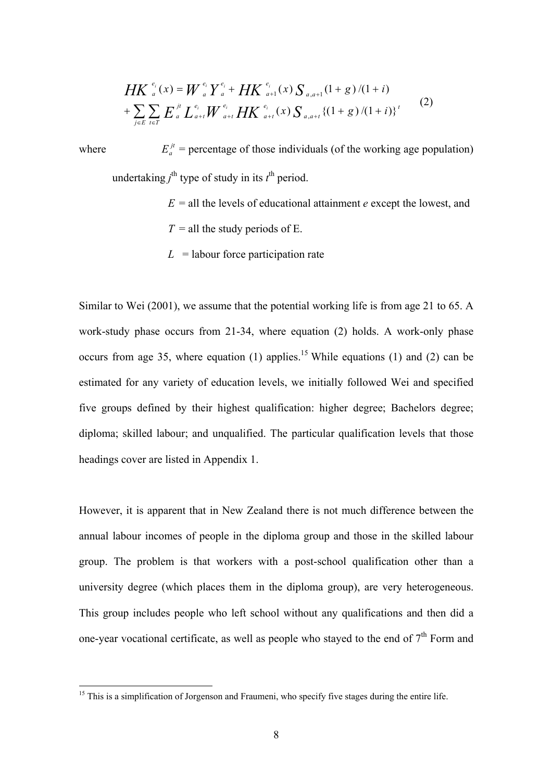$$
HK_{a}^{e_i}(x) = W_{a}^{e_i} Y_{a}^{e_i} + HK_{a+1}^{e_i}(x) S_{a,a+1}(1+g)/(1+i)
$$
  
+ 
$$
\sum_{j\in E} \sum_{t\in T} E_{a}^{jt} L_{a+t}^{e_i} W_{a+t}^{e_i} HK_{a+t}^{e_i}(x) S_{a,a+t} \{(1+g)/(1+i)\}^{t}
$$
 (2)

where  $E_a^{jt}$  = percentage of those individuals (of the working age population) undertaking  $j^{\text{th}}$  type of study in its  $t^{\text{th}}$  period.

- $E =$ all the levels of educational attainment *e* except the lowest, and  $T =$  all the study periods of E.
- $L =$ labour force participation rate

Similar to Wei (2001), we assume that the potential working life is from age 21 to 65. A work-study phase occurs from 21-34, where equation (2) holds. A work-only phase occurs from age 35, where equation (1) applies.<sup>15</sup> While equations (1) and (2) can be estimated for any variety of education levels, we initially followed Wei and specified five groups defined by their highest qualification: higher degree; Bachelors degree; diploma; skilled labour; and unqualified. The particular qualification levels that those headings cover are listed in Appendix 1.

However, it is apparent that in New Zealand there is not much difference between the annual labour incomes of people in the diploma group and those in the skilled labour group. The problem is that workers with a post-school qualification other than a university degree (which places them in the diploma group), are very heterogeneous. This group includes people who left school without any qualifications and then did a one-year vocational certificate, as well as people who stayed to the end of  $7<sup>th</sup>$  Form and

<sup>&</sup>lt;sup>15</sup> This is a simplification of Jorgenson and Fraumeni, who specify five stages during the entire life.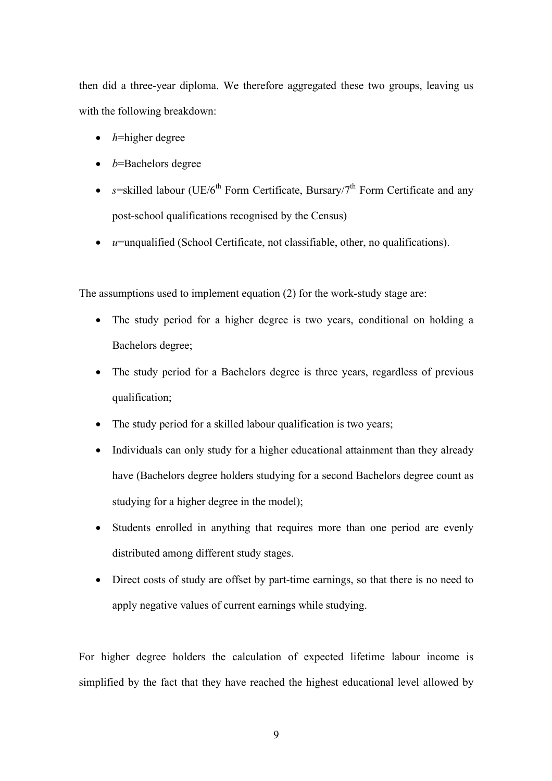then did a three-year diploma. We therefore aggregated these two groups, leaving us with the following breakdown:

- *h*=higher degree
- *b*=Bachelors degree
- $s$ =skilled labour (UE/6<sup>th</sup> Form Certificate, Bursary/7<sup>th</sup> Form Certificate and any post-school qualifications recognised by the Census)
- *u*=unqualified (School Certificate, not classifiable, other, no qualifications).

The assumptions used to implement equation (2) for the work-study stage are:

- The study period for a higher degree is two years, conditional on holding a Bachelors degree;
- The study period for a Bachelors degree is three years, regardless of previous qualification;
- The study period for a skilled labour qualification is two years;
- Individuals can only study for a higher educational attainment than they already have (Bachelors degree holders studying for a second Bachelors degree count as studying for a higher degree in the model);
- Students enrolled in anything that requires more than one period are evenly distributed among different study stages.
- Direct costs of study are offset by part-time earnings, so that there is no need to apply negative values of current earnings while studying.

For higher degree holders the calculation of expected lifetime labour income is simplified by the fact that they have reached the highest educational level allowed by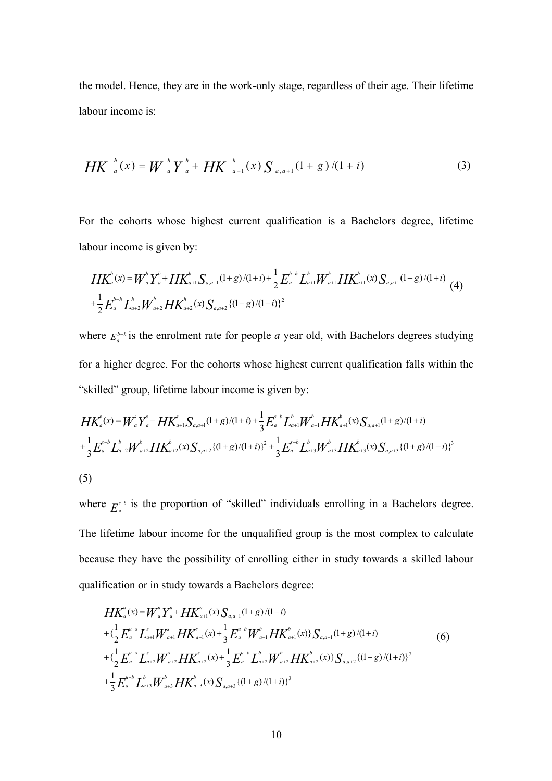the model. Hence, they are in the work-only stage, regardless of their age. Their lifetime labour income is:

$$
HK_{a}^{h}(x) = W_{a}^{h}Y_{a}^{h} + HK_{a+1}^{h}(x)S_{a,a+1}(1+g)/(1+i)
$$
\n(3)

For the cohorts whose highest current qualification is a Bachelors degree, lifetime labour income is given by:

$$
HK_a^b(x) = W_a^b Y_a^b + HK_{a+1}^b S_{a,a+1}(1+g)/(1+i) + \frac{1}{2} E_a^{b-h} L_{a+1}^b W_{a+1}^b HK_{a+1}^b(x) S_{a,a+1}(1+g)/(1+i)
$$
  
+
$$
\frac{1}{2} E_a^{b-h} L_{a+2}^b W_{a+2}^b HK_{a+2}^b(x) S_{a,a+2} \{(1+g)/(1+i)\}^2
$$
 (4)

where  $E_a^{b-h}$  is the enrolment rate for people *a* year old, with Bachelors degrees studying for a higher degree. For the cohorts whose highest current qualification falls within the "skilled" group, lifetime labour income is given by:

$$
HK_{a}^{s}(x) = W_{a}^{s}Y_{a}^{s} + HK_{a+1}^{s}S_{a,a+1}(1+g)/(1+i) + \frac{1}{3}E_{a}^{s-b}L_{a+1}^{b}W_{a+1}^{b}HK_{a+1}^{b}(x)S_{a,a+1}(1+g)/(1+i)
$$
  
+
$$
\frac{1}{3}E_{a}^{s-b}L_{a+2}^{b}W_{a+2}^{b}HK_{a+2}^{b}(x)S_{a,a+2}\{(1+g)/(1+i)\}^{2} + \frac{1}{3}E_{a}^{s-b}L_{a+3}^{b}W_{a+3}^{b}HK_{a+3}^{b}(x)S_{a,a+3}\{(1+g)/(1+i)\}^{3}
$$
  
(5)

where  $E_a^{s-b}$  is the proportion of "skilled" individuals enrolling in a Bachelors degree. The lifetime labour income for the unqualified group is the most complex to calculate because they have the possibility of enrolling either in study towards a skilled labour qualification or in study towards a Bachelors degree:

$$
HK_a^u(x) = W_a^u Y_a^u + HK_{a+1}^u(x) S_{a,a+1}(1+g)/(1+i)
$$
  
+  $\{\frac{1}{2} E_a^{u-s} L_{a+1}^s W_{a+1}^s HK_{a+1}^s(x) + \frac{1}{3} E_a^{u-b} W_{a+1}^b HK_{a+1}^b(x) \} S_{a,a+1}(1+g)/(1+i)$   
+  $\{\frac{1}{2} E_a^{u-s} L_{a+2}^s W_{a+2}^s HK_{a+2}^s(x) + \frac{1}{3} E_a^{u-b} L_{a+2}^b W_{a+2}^b HK_{a+2}^b(x) \} S_{a,a+2} \{(1+g)/(1+i)\}^2$   
+  $\frac{1}{3} E_a^{u-b} L_{a+3}^b W_{a+3}^b HK_{a+3}^b(x) S_{a,a+3} \{(1+g)/(1+i)\}^3$  (6)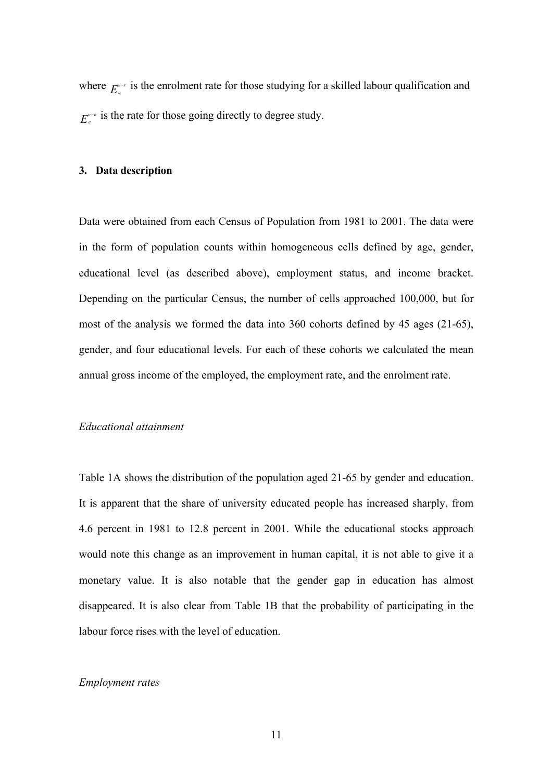where  $E_a^{u-s}$  is the enrolment rate for those studying for a skilled labour qualification and  $E_{a}^{\mu-b}$  is the rate for those going directly to degree study.

#### **3. Data description**

Data were obtained from each Census of Population from 1981 to 2001. The data were in the form of population counts within homogeneous cells defined by age, gender, educational level (as described above), employment status, and income bracket. Depending on the particular Census, the number of cells approached 100,000, but for most of the analysis we formed the data into 360 cohorts defined by 45 ages (21-65), gender, and four educational levels. For each of these cohorts we calculated the mean annual gross income of the employed, the employment rate, and the enrolment rate.

#### *Educational attainment*

Table 1A shows the distribution of the population aged 21-65 by gender and education. It is apparent that the share of university educated people has increased sharply, from 4.6 percent in 1981 to 12.8 percent in 2001. While the educational stocks approach would note this change as an improvement in human capital, it is not able to give it a monetary value. It is also notable that the gender gap in education has almost disappeared. It is also clear from Table 1B that the probability of participating in the labour force rises with the level of education.

#### *Employment rates*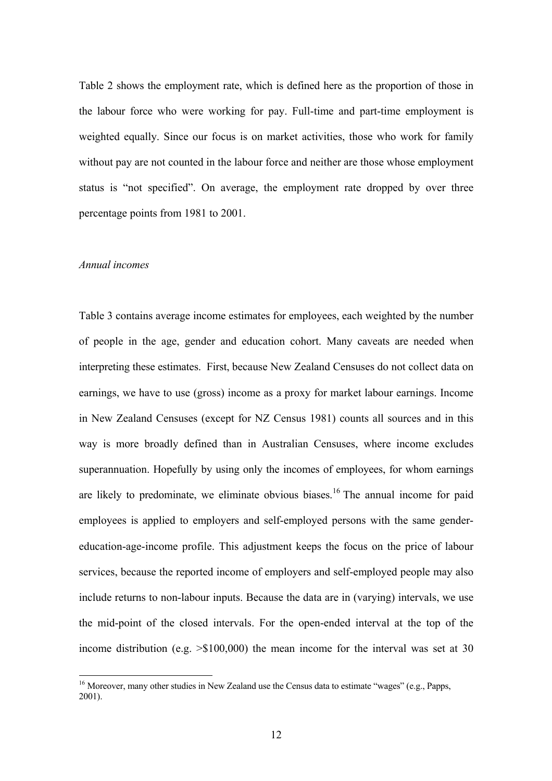Table 2 shows the employment rate, which is defined here as the proportion of those in the labour force who were working for pay. Full-time and part-time employment is weighted equally. Since our focus is on market activities, those who work for family without pay are not counted in the labour force and neither are those whose employment status is "not specified". On average, the employment rate dropped by over three percentage points from 1981 to 2001.

#### *Annual incomes*

 $\overline{a}$ 

Table 3 contains average income estimates for employees, each weighted by the number of people in the age, gender and education cohort. Many caveats are needed when interpreting these estimates. First, because New Zealand Censuses do not collect data on earnings, we have to use (gross) income as a proxy for market labour earnings. Income in New Zealand Censuses (except for NZ Census 1981) counts all sources and in this way is more broadly defined than in Australian Censuses, where income excludes superannuation. Hopefully by using only the incomes of employees, for whom earnings are likely to predominate, we eliminate obvious biases.<sup>16</sup> The annual income for paid employees is applied to employers and self-employed persons with the same gendereducation-age-income profile. This adjustment keeps the focus on the price of labour services, because the reported income of employers and self-employed people may also include returns to non-labour inputs. Because the data are in (varying) intervals, we use the mid-point of the closed intervals. For the open-ended interval at the top of the income distribution (e.g. >\$100,000) the mean income for the interval was set at 30

<sup>&</sup>lt;sup>16</sup> Moreover, many other studies in New Zealand use the Census data to estimate "wages" (e.g., Papps, 2001).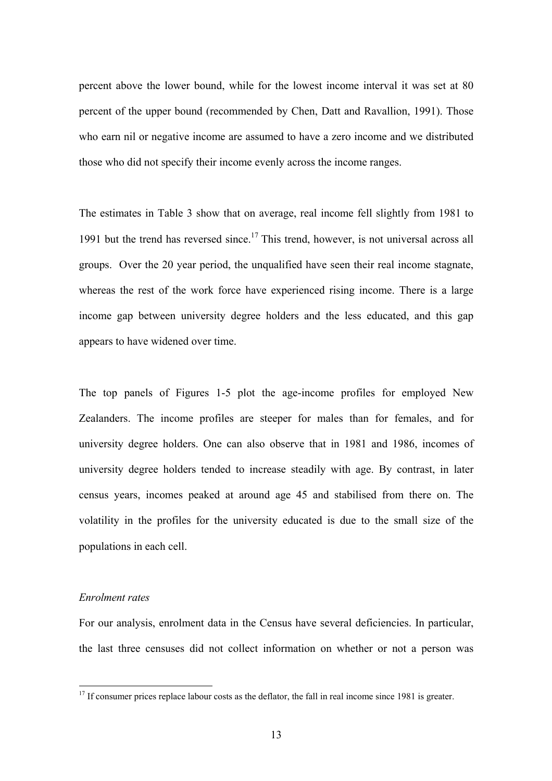percent above the lower bound, while for the lowest income interval it was set at 80 percent of the upper bound (recommended by Chen, Datt and Ravallion, 1991). Those who earn nil or negative income are assumed to have a zero income and we distributed those who did not specify their income evenly across the income ranges.

The estimates in Table 3 show that on average, real income fell slightly from 1981 to 1991 but the trend has reversed since.<sup>17</sup> This trend, however, is not universal across all groups. Over the 20 year period, the unqualified have seen their real income stagnate, whereas the rest of the work force have experienced rising income. There is a large income gap between university degree holders and the less educated, and this gap appears to have widened over time.

The top panels of Figures 1-5 plot the age-income profiles for employed New Zealanders. The income profiles are steeper for males than for females, and for university degree holders. One can also observe that in 1981 and 1986, incomes of university degree holders tended to increase steadily with age. By contrast, in later census years, incomes peaked at around age 45 and stabilised from there on. The volatility in the profiles for the university educated is due to the small size of the populations in each cell.

#### *Enrolment rates*

 $\overline{a}$ 

For our analysis, enrolment data in the Census have several deficiencies. In particular, the last three censuses did not collect information on whether or not a person was

 $17$  If consumer prices replace labour costs as the deflator, the fall in real income since 1981 is greater.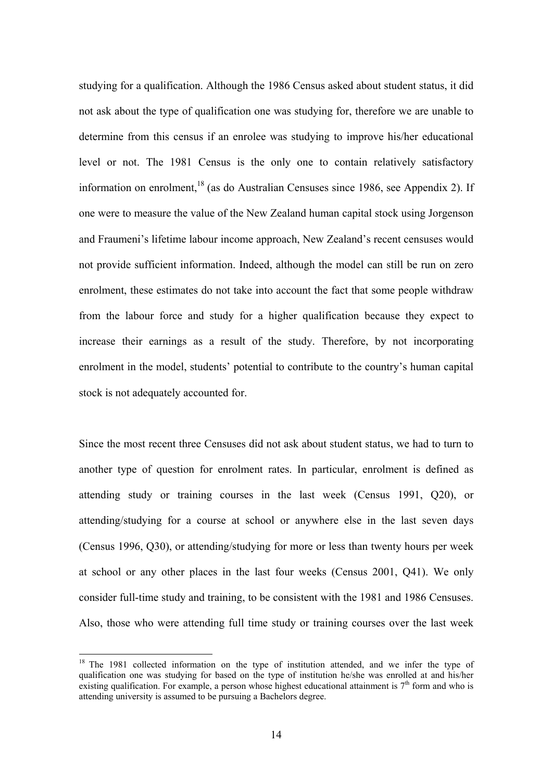studying for a qualification. Although the 1986 Census asked about student status, it did not ask about the type of qualification one was studying for, therefore we are unable to determine from this census if an enrolee was studying to improve his/her educational level or not. The 1981 Census is the only one to contain relatively satisfactory information on enrolment,  $^{18}$  (as do Australian Censuses since 1986, see Appendix 2). If one were to measure the value of the New Zealand human capital stock using Jorgenson and Fraumeni's lifetime labour income approach, New Zealand's recent censuses would not provide sufficient information. Indeed, although the model can still be run on zero enrolment, these estimates do not take into account the fact that some people withdraw from the labour force and study for a higher qualification because they expect to increase their earnings as a result of the study. Therefore, by not incorporating enrolment in the model, students' potential to contribute to the country's human capital stock is not adequately accounted for.

Since the most recent three Censuses did not ask about student status, we had to turn to another type of question for enrolment rates. In particular, enrolment is defined as attending study or training courses in the last week (Census 1991, Q20), or attending/studying for a course at school or anywhere else in the last seven days (Census 1996, Q30), or attending/studying for more or less than twenty hours per week at school or any other places in the last four weeks (Census 2001, Q41). We only consider full-time study and training, to be consistent with the 1981 and 1986 Censuses. Also, those who were attending full time study or training courses over the last week

<sup>&</sup>lt;sup>18</sup> The 1981 collected information on the type of institution attended, and we infer the type of qualification one was studying for based on the type of institution he/she was enrolled at and his/her existing qualification. For example, a person whose highest educational attainment is  $7<sup>th</sup>$  form and who is attending university is assumed to be pursuing a Bachelors degree.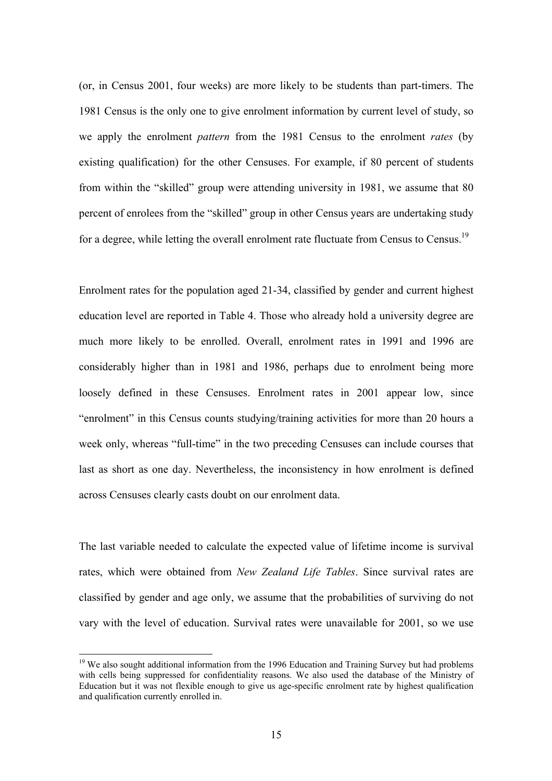(or, in Census 2001, four weeks) are more likely to be students than part-timers. The 1981 Census is the only one to give enrolment information by current level of study, so we apply the enrolment *pattern* from the 1981 Census to the enrolment *rates* (by existing qualification) for the other Censuses. For example, if 80 percent of students from within the "skilled" group were attending university in 1981, we assume that 80 percent of enrolees from the "skilled" group in other Census years are undertaking study for a degree, while letting the overall enrolment rate fluctuate from Census to Census.<sup>19</sup>

Enrolment rates for the population aged 21-34, classified by gender and current highest education level are reported in Table 4. Those who already hold a university degree are much more likely to be enrolled. Overall, enrolment rates in 1991 and 1996 are considerably higher than in 1981 and 1986, perhaps due to enrolment being more loosely defined in these Censuses. Enrolment rates in 2001 appear low, since "enrolment" in this Census counts studying/training activities for more than 20 hours a week only, whereas "full-time" in the two preceding Censuses can include courses that last as short as one day. Nevertheless, the inconsistency in how enrolment is defined across Censuses clearly casts doubt on our enrolment data.

The last variable needed to calculate the expected value of lifetime income is survival rates, which were obtained from *New Zealand Life Tables*. Since survival rates are classified by gender and age only, we assume that the probabilities of surviving do not vary with the level of education. Survival rates were unavailable for 2001, so we use

<sup>&</sup>lt;sup>19</sup> We also sought additional information from the 1996 Education and Training Survey but had problems with cells being suppressed for confidentiality reasons. We also used the database of the Ministry of Education but it was not flexible enough to give us age-specific enrolment rate by highest qualification and qualification currently enrolled in.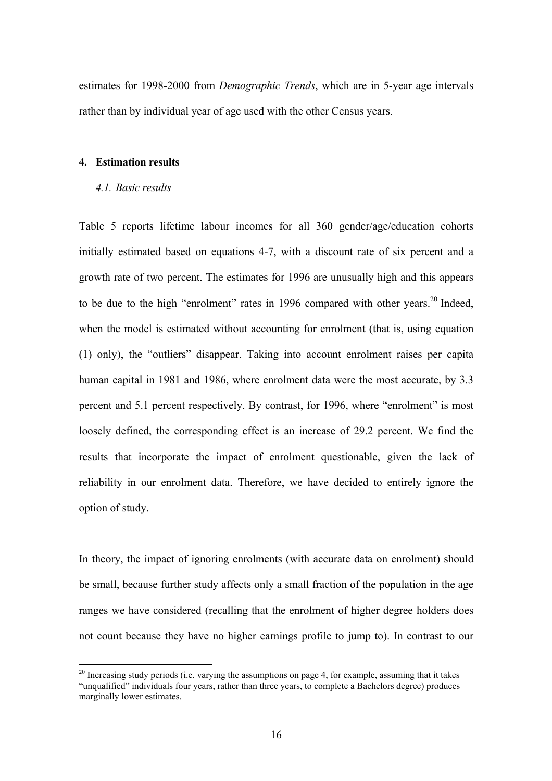estimates for 1998-2000 from *Demographic Trends*, which are in 5-year age intervals rather than by individual year of age used with the other Census years.

#### **4. Estimation results**

#### *4.1. Basic results*

 $\overline{a}$ 

Table 5 reports lifetime labour incomes for all 360 gender/age/education cohorts initially estimated based on equations 4-7, with a discount rate of six percent and a growth rate of two percent. The estimates for 1996 are unusually high and this appears to be due to the high "enrolment" rates in 1996 compared with other years.<sup>20</sup> Indeed, when the model is estimated without accounting for enrolment (that is, using equation (1) only), the "outliers" disappear. Taking into account enrolment raises per capita human capital in 1981 and 1986, where enrolment data were the most accurate, by 3.3 percent and 5.1 percent respectively. By contrast, for 1996, where "enrolment" is most loosely defined, the corresponding effect is an increase of 29.2 percent. We find the results that incorporate the impact of enrolment questionable, given the lack of reliability in our enrolment data. Therefore, we have decided to entirely ignore the option of study.

In theory, the impact of ignoring enrolments (with accurate data on enrolment) should be small, because further study affects only a small fraction of the population in the age ranges we have considered (recalling that the enrolment of higher degree holders does not count because they have no higher earnings profile to jump to). In contrast to our

 $20$  Increasing study periods (i.e. varying the assumptions on page 4, for example, assuming that it takes "unqualified" individuals four years, rather than three years, to complete a Bachelors degree) produces marginally lower estimates.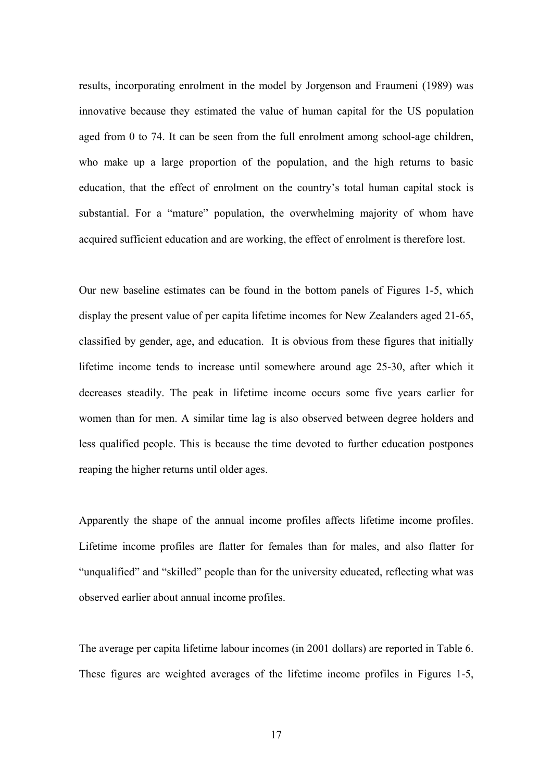results, incorporating enrolment in the model by Jorgenson and Fraumeni (1989) was innovative because they estimated the value of human capital for the US population aged from 0 to 74. It can be seen from the full enrolment among school-age children, who make up a large proportion of the population, and the high returns to basic education, that the effect of enrolment on the country's total human capital stock is substantial. For a "mature" population, the overwhelming majority of whom have acquired sufficient education and are working, the effect of enrolment is therefore lost.

Our new baseline estimates can be found in the bottom panels of Figures 1-5, which display the present value of per capita lifetime incomes for New Zealanders aged 21-65, classified by gender, age, and education. It is obvious from these figures that initially lifetime income tends to increase until somewhere around age 25-30, after which it decreases steadily. The peak in lifetime income occurs some five years earlier for women than for men. A similar time lag is also observed between degree holders and less qualified people. This is because the time devoted to further education postpones reaping the higher returns until older ages.

Apparently the shape of the annual income profiles affects lifetime income profiles. Lifetime income profiles are flatter for females than for males, and also flatter for "unqualified" and "skilled" people than for the university educated, reflecting what was observed earlier about annual income profiles.

The average per capita lifetime labour incomes (in 2001 dollars) are reported in Table 6. These figures are weighted averages of the lifetime income profiles in Figures 1-5,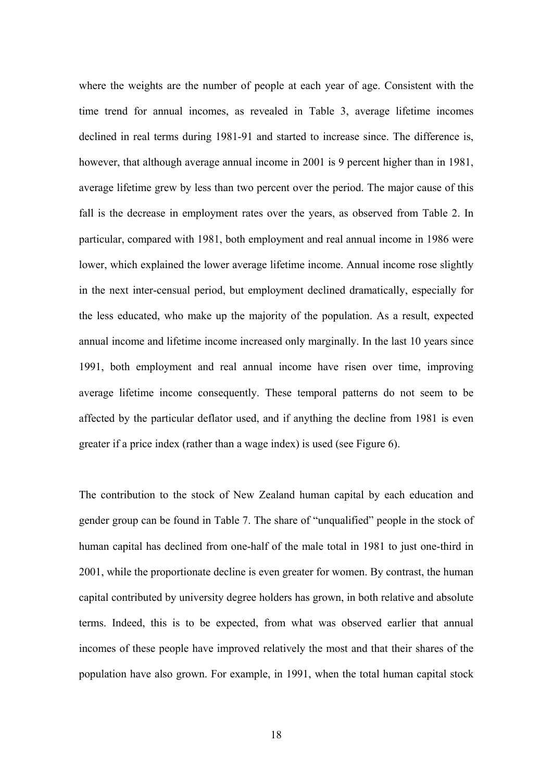where the weights are the number of people at each year of age. Consistent with the time trend for annual incomes, as revealed in Table 3, average lifetime incomes declined in real terms during 1981-91 and started to increase since. The difference is, however, that although average annual income in 2001 is 9 percent higher than in 1981, average lifetime grew by less than two percent over the period. The major cause of this fall is the decrease in employment rates over the years, as observed from Table 2. In particular, compared with 1981, both employment and real annual income in 1986 were lower, which explained the lower average lifetime income. Annual income rose slightly in the next inter-censual period, but employment declined dramatically, especially for the less educated, who make up the majority of the population. As a result, expected annual income and lifetime income increased only marginally. In the last 10 years since 1991, both employment and real annual income have risen over time, improving average lifetime income consequently. These temporal patterns do not seem to be affected by the particular deflator used, and if anything the decline from 1981 is even greater if a price index (rather than a wage index) is used (see Figure 6).

The contribution to the stock of New Zealand human capital by each education and gender group can be found in Table 7. The share of "unqualified" people in the stock of human capital has declined from one-half of the male total in 1981 to just one-third in 2001, while the proportionate decline is even greater for women. By contrast, the human capital contributed by university degree holders has grown, in both relative and absolute terms. Indeed, this is to be expected, from what was observed earlier that annual incomes of these people have improved relatively the most and that their shares of the population have also grown. For example, in 1991, when the total human capital stock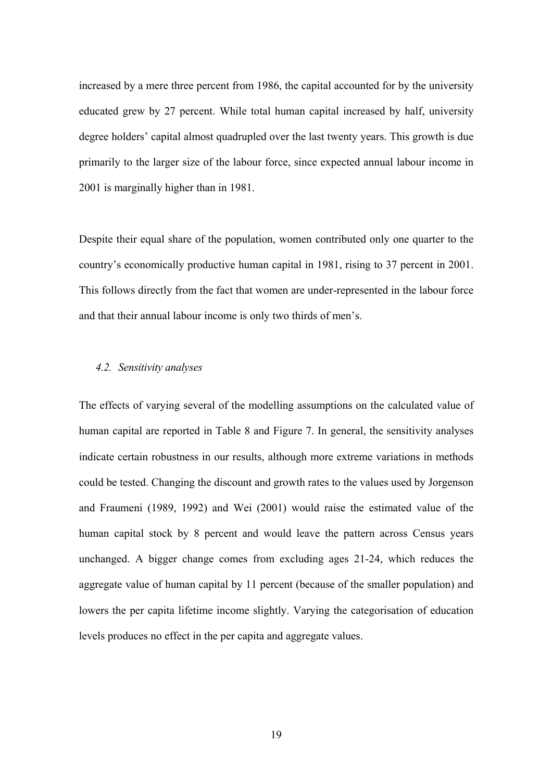increased by a mere three percent from 1986, the capital accounted for by the university educated grew by 27 percent. While total human capital increased by half, university degree holders' capital almost quadrupled over the last twenty years. This growth is due primarily to the larger size of the labour force, since expected annual labour income in 2001 is marginally higher than in 1981.

Despite their equal share of the population, women contributed only one quarter to the country's economically productive human capital in 1981, rising to 37 percent in 2001. This follows directly from the fact that women are under-represented in the labour force and that their annual labour income is only two thirds of men's.

#### *4.2. Sensitivity analyses*

The effects of varying several of the modelling assumptions on the calculated value of human capital are reported in Table 8 and Figure 7. In general, the sensitivity analyses indicate certain robustness in our results, although more extreme variations in methods could be tested. Changing the discount and growth rates to the values used by Jorgenson and Fraumeni (1989, 1992) and Wei (2001) would raise the estimated value of the human capital stock by 8 percent and would leave the pattern across Census years unchanged. A bigger change comes from excluding ages 21-24, which reduces the aggregate value of human capital by 11 percent (because of the smaller population) and lowers the per capita lifetime income slightly. Varying the categorisation of education levels produces no effect in the per capita and aggregate values.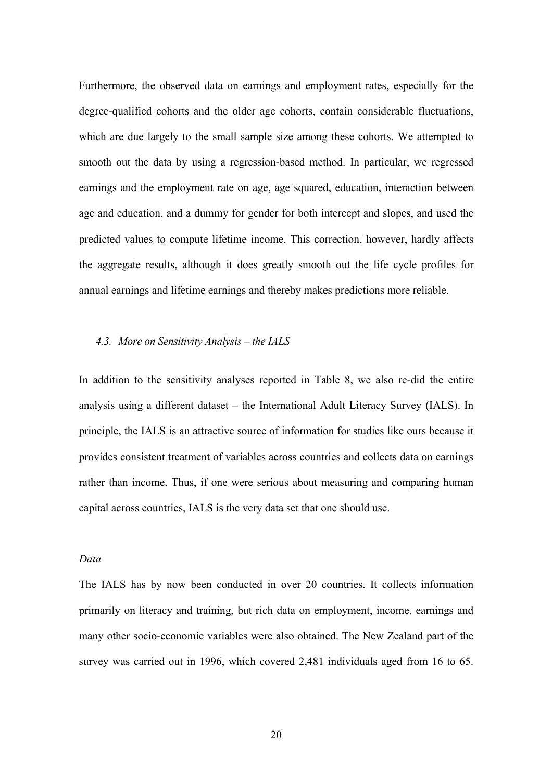Furthermore, the observed data on earnings and employment rates, especially for the degree-qualified cohorts and the older age cohorts, contain considerable fluctuations, which are due largely to the small sample size among these cohorts. We attempted to smooth out the data by using a regression-based method. In particular, we regressed earnings and the employment rate on age, age squared, education, interaction between age and education, and a dummy for gender for both intercept and slopes, and used the predicted values to compute lifetime income. This correction, however, hardly affects the aggregate results, although it does greatly smooth out the life cycle profiles for annual earnings and lifetime earnings and thereby makes predictions more reliable.

## *4.3. More on Sensitivity Analysis – the IALS*

In addition to the sensitivity analyses reported in Table 8, we also re-did the entire analysis using a different dataset – the International Adult Literacy Survey (IALS). In principle, the IALS is an attractive source of information for studies like ours because it provides consistent treatment of variables across countries and collects data on earnings rather than income. Thus, if one were serious about measuring and comparing human capital across countries, IALS is the very data set that one should use.

#### *Data*

The IALS has by now been conducted in over 20 countries. It collects information primarily on literacy and training, but rich data on employment, income, earnings and many other socio-economic variables were also obtained. The New Zealand part of the survey was carried out in 1996, which covered 2,481 individuals aged from 16 to 65.

20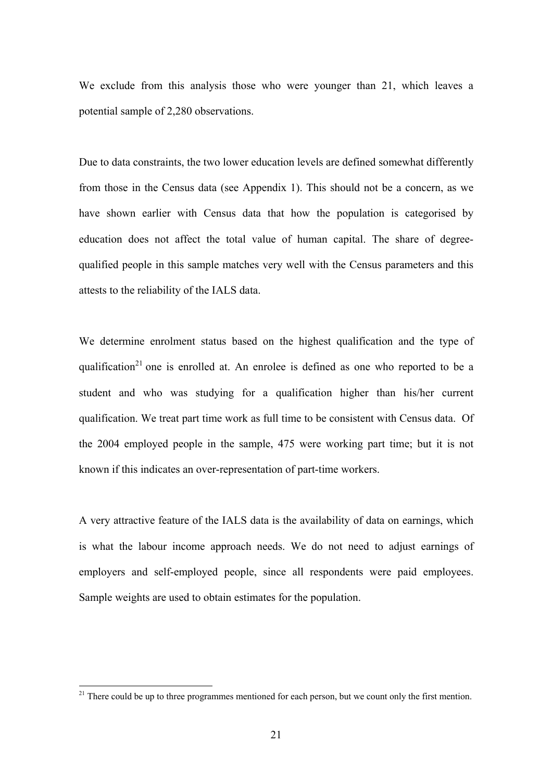We exclude from this analysis those who were younger than 21, which leaves a potential sample of 2,280 observations.

Due to data constraints, the two lower education levels are defined somewhat differently from those in the Census data (see Appendix 1). This should not be a concern, as we have shown earlier with Census data that how the population is categorised by education does not affect the total value of human capital. The share of degreequalified people in this sample matches very well with the Census parameters and this attests to the reliability of the IALS data.

We determine enrolment status based on the highest qualification and the type of qualification<sup>21</sup> one is enrolled at. An enrolee is defined as one who reported to be a student and who was studying for a qualification higher than his/her current qualification. We treat part time work as full time to be consistent with Census data. Of the 2004 employed people in the sample, 475 were working part time; but it is not known if this indicates an over-representation of part-time workers.

A very attractive feature of the IALS data is the availability of data on earnings, which is what the labour income approach needs. We do not need to adjust earnings of employers and self-employed people, since all respondents were paid employees. Sample weights are used to obtain estimates for the population.

 $21$  There could be up to three programmes mentioned for each person, but we count only the first mention.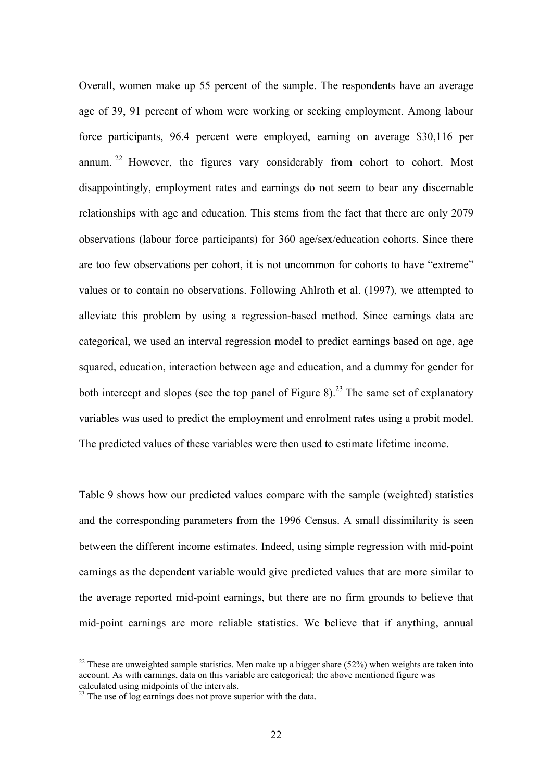Overall, women make up 55 percent of the sample. The respondents have an average age of 39, 91 percent of whom were working or seeking employment. Among labour force participants, 96.4 percent were employed, earning on average \$30,116 per annum.  $22$  However, the figures vary considerably from cohort to cohort. Most disappointingly, employment rates and earnings do not seem to bear any discernable relationships with age and education. This stems from the fact that there are only 2079 observations (labour force participants) for 360 age/sex/education cohorts. Since there are too few observations per cohort, it is not uncommon for cohorts to have "extreme" values or to contain no observations. Following Ahlroth et al. (1997), we attempted to alleviate this problem by using a regression-based method. Since earnings data are categorical, we used an interval regression model to predict earnings based on age, age squared, education, interaction between age and education, and a dummy for gender for both intercept and slopes (see the top panel of Figure 8).<sup>23</sup> The same set of explanatory variables was used to predict the employment and enrolment rates using a probit model. The predicted values of these variables were then used to estimate lifetime income.

Table 9 shows how our predicted values compare with the sample (weighted) statistics and the corresponding parameters from the 1996 Census. A small dissimilarity is seen between the different income estimates. Indeed, using simple regression with mid-point earnings as the dependent variable would give predicted values that are more similar to the average reported mid-point earnings, but there are no firm grounds to believe that mid-point earnings are more reliable statistics. We believe that if anything, annual

<sup>&</sup>lt;sup>22</sup> These are unweighted sample statistics. Men make up a bigger share (52%) when weights are taken into account. As with earnings, data on this variable are categorical; the above mentioned figure was calculated using midpoints of the intervals.

 $^{23}$  The use of log earnings does not prove superior with the data.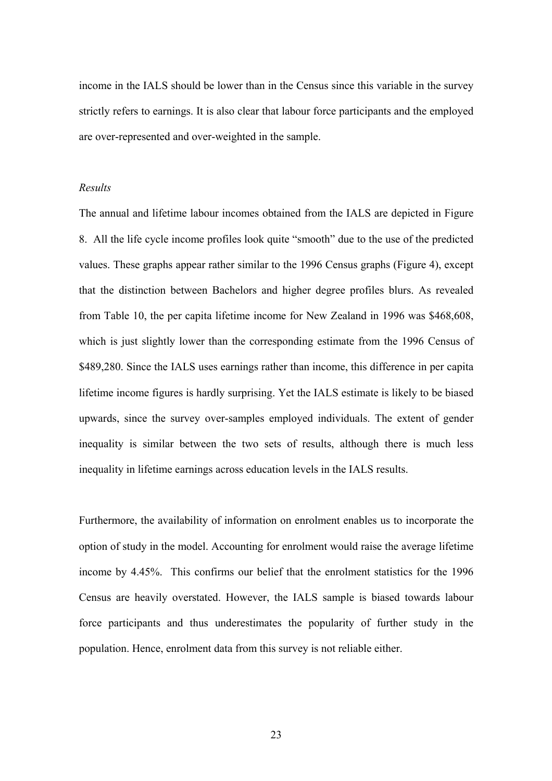income in the IALS should be lower than in the Census since this variable in the survey strictly refers to earnings. It is also clear that labour force participants and the employed are over-represented and over-weighted in the sample.

## *Results*

The annual and lifetime labour incomes obtained from the IALS are depicted in Figure 8. All the life cycle income profiles look quite "smooth" due to the use of the predicted values. These graphs appear rather similar to the 1996 Census graphs (Figure 4), except that the distinction between Bachelors and higher degree profiles blurs. As revealed from Table 10, the per capita lifetime income for New Zealand in 1996 was \$468,608, which is just slightly lower than the corresponding estimate from the 1996 Census of \$489,280. Since the IALS uses earnings rather than income, this difference in per capita lifetime income figures is hardly surprising. Yet the IALS estimate is likely to be biased upwards, since the survey over-samples employed individuals. The extent of gender inequality is similar between the two sets of results, although there is much less inequality in lifetime earnings across education levels in the IALS results.

Furthermore, the availability of information on enrolment enables us to incorporate the option of study in the model. Accounting for enrolment would raise the average lifetime income by 4.45%. This confirms our belief that the enrolment statistics for the 1996 Census are heavily overstated. However, the IALS sample is biased towards labour force participants and thus underestimates the popularity of further study in the population. Hence, enrolment data from this survey is not reliable either.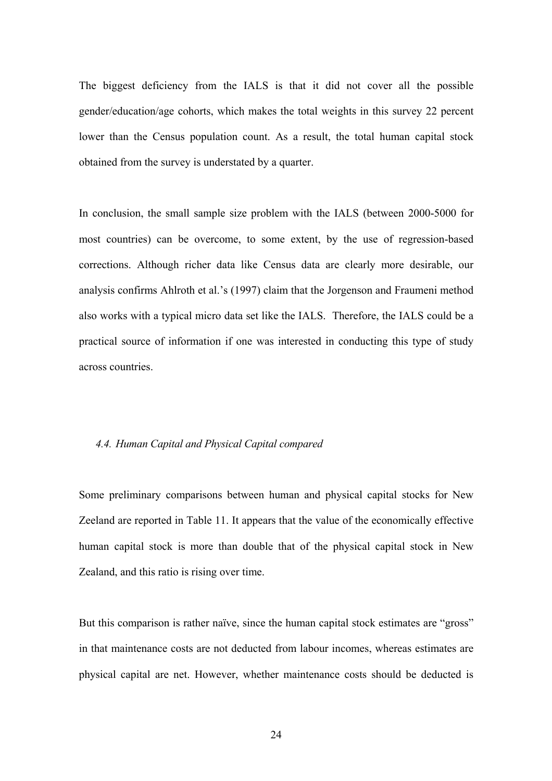The biggest deficiency from the IALS is that it did not cover all the possible gender/education/age cohorts, which makes the total weights in this survey 22 percent lower than the Census population count. As a result, the total human capital stock obtained from the survey is understated by a quarter.

In conclusion, the small sample size problem with the IALS (between 2000-5000 for most countries) can be overcome, to some extent, by the use of regression-based corrections. Although richer data like Census data are clearly more desirable, our analysis confirms Ahlroth et al.'s (1997) claim that the Jorgenson and Fraumeni method also works with a typical micro data set like the IALS. Therefore, the IALS could be a practical source of information if one was interested in conducting this type of study across countries.

#### *4.4. Human Capital and Physical Capital compared*

Some preliminary comparisons between human and physical capital stocks for New Zeeland are reported in Table 11. It appears that the value of the economically effective human capital stock is more than double that of the physical capital stock in New Zealand, and this ratio is rising over time.

But this comparison is rather naïve, since the human capital stock estimates are "gross" in that maintenance costs are not deducted from labour incomes, whereas estimates are physical capital are net. However, whether maintenance costs should be deducted is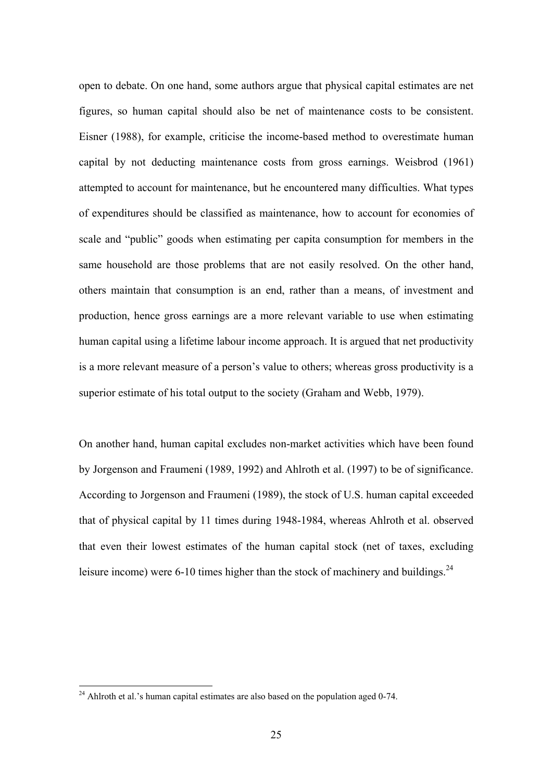open to debate. On one hand, some authors argue that physical capital estimates are net figures, so human capital should also be net of maintenance costs to be consistent. Eisner (1988), for example, criticise the income-based method to overestimate human capital by not deducting maintenance costs from gross earnings. Weisbrod (1961) attempted to account for maintenance, but he encountered many difficulties. What types of expenditures should be classified as maintenance, how to account for economies of scale and "public" goods when estimating per capita consumption for members in the same household are those problems that are not easily resolved. On the other hand, others maintain that consumption is an end, rather than a means, of investment and production, hence gross earnings are a more relevant variable to use when estimating human capital using a lifetime labour income approach. It is argued that net productivity is a more relevant measure of a person's value to others; whereas gross productivity is a superior estimate of his total output to the society (Graham and Webb, 1979).

On another hand, human capital excludes non-market activities which have been found by Jorgenson and Fraumeni (1989, 1992) and Ahlroth et al. (1997) to be of significance. According to Jorgenson and Fraumeni (1989), the stock of U.S. human capital exceeded that of physical capital by 11 times during 1948-1984, whereas Ahlroth et al. observed that even their lowest estimates of the human capital stock (net of taxes, excluding leisure income) were 6-10 times higher than the stock of machinery and buildings.<sup>24</sup>

 $24$  Ahlroth et al.'s human capital estimates are also based on the population aged 0-74.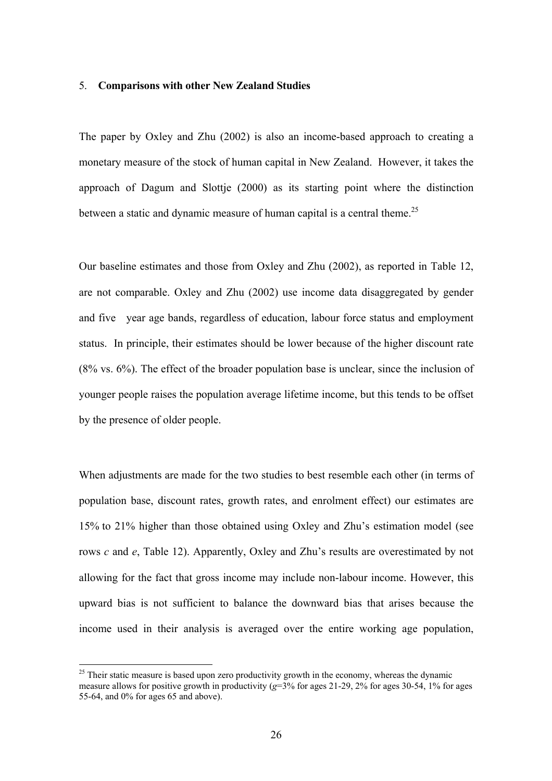#### 5. **Comparisons with other New Zealand Studies**

The paper by Oxley and Zhu (2002) is also an income-based approach to creating a monetary measure of the stock of human capital in New Zealand. However, it takes the approach of Dagum and Slottje (2000) as its starting point where the distinction between a static and dynamic measure of human capital is a central theme.<sup>25</sup>

Our baseline estimates and those from Oxley and Zhu (2002), as reported in Table 12, are not comparable. Oxley and Zhu (2002) use income data disaggregated by gender and five year age bands, regardless of education, labour force status and employment status. In principle, their estimates should be lower because of the higher discount rate (8% vs. 6%). The effect of the broader population base is unclear, since the inclusion of younger people raises the population average lifetime income, but this tends to be offset by the presence of older people.

When adjustments are made for the two studies to best resemble each other (in terms of population base, discount rates, growth rates, and enrolment effect) our estimates are 15% to 21% higher than those obtained using Oxley and Zhu's estimation model (see rows *c* and *e*, Table 12). Apparently, Oxley and Zhu's results are overestimated by not allowing for the fact that gross income may include non-labour income. However, this upward bias is not sufficient to balance the downward bias that arises because the income used in their analysis is averaged over the entire working age population,

 $25$  Their static measure is based upon zero productivity growth in the economy, whereas the dynamic measure allows for positive growth in productivity ( $g=3\%$  for ages 21-29, 2% for ages 30-54, 1% for ages 55-64, and 0% for ages 65 and above).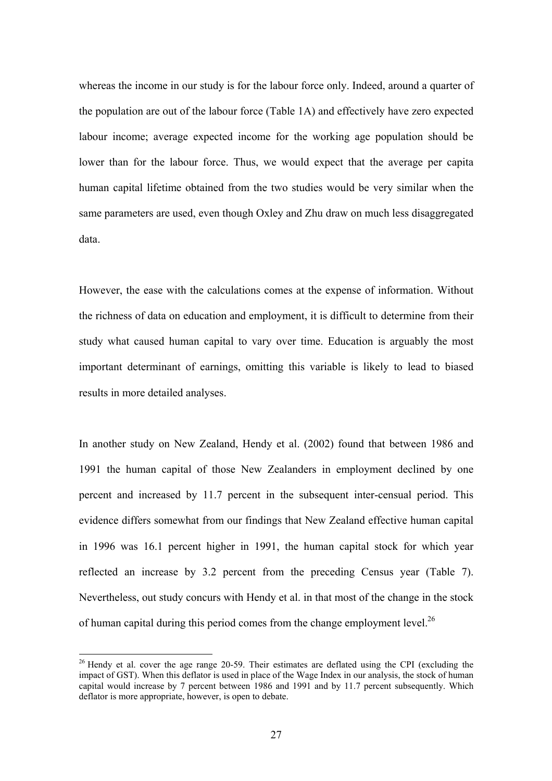whereas the income in our study is for the labour force only. Indeed, around a quarter of the population are out of the labour force (Table 1A) and effectively have zero expected labour income; average expected income for the working age population should be lower than for the labour force. Thus, we would expect that the average per capita human capital lifetime obtained from the two studies would be very similar when the same parameters are used, even though Oxley and Zhu draw on much less disaggregated data.

However, the ease with the calculations comes at the expense of information. Without the richness of data on education and employment, it is difficult to determine from their study what caused human capital to vary over time. Education is arguably the most important determinant of earnings, omitting this variable is likely to lead to biased results in more detailed analyses.

In another study on New Zealand, Hendy et al. (2002) found that between 1986 and 1991 the human capital of those New Zealanders in employment declined by one percent and increased by 11.7 percent in the subsequent inter-censual period. This evidence differs somewhat from our findings that New Zealand effective human capital in 1996 was 16.1 percent higher in 1991, the human capital stock for which year reflected an increase by 3.2 percent from the preceding Census year (Table 7). Nevertheless, out study concurs with Hendy et al. in that most of the change in the stock of human capital during this period comes from the change employment level.<sup>26</sup>

 $26$  Hendy et al. cover the age range 20-59. Their estimates are deflated using the CPI (excluding the impact of GST). When this deflator is used in place of the Wage Index in our analysis, the stock of human capital would increase by 7 percent between 1986 and 1991 and by 11.7 percent subsequently. Which deflator is more appropriate, however, is open to debate.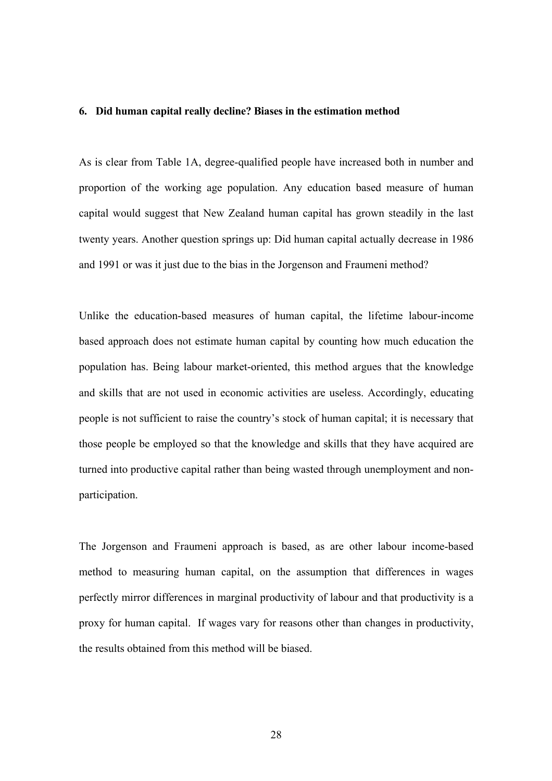#### **6. Did human capital really decline? Biases in the estimation method**

As is clear from Table 1A, degree-qualified people have increased both in number and proportion of the working age population. Any education based measure of human capital would suggest that New Zealand human capital has grown steadily in the last twenty years. Another question springs up: Did human capital actually decrease in 1986 and 1991 or was it just due to the bias in the Jorgenson and Fraumeni method?

Unlike the education-based measures of human capital, the lifetime labour-income based approach does not estimate human capital by counting how much education the population has. Being labour market-oriented, this method argues that the knowledge and skills that are not used in economic activities are useless. Accordingly, educating people is not sufficient to raise the country's stock of human capital; it is necessary that those people be employed so that the knowledge and skills that they have acquired are turned into productive capital rather than being wasted through unemployment and nonparticipation.

The Jorgenson and Fraumeni approach is based, as are other labour income-based method to measuring human capital, on the assumption that differences in wages perfectly mirror differences in marginal productivity of labour and that productivity is a proxy for human capital. If wages vary for reasons other than changes in productivity, the results obtained from this method will be biased.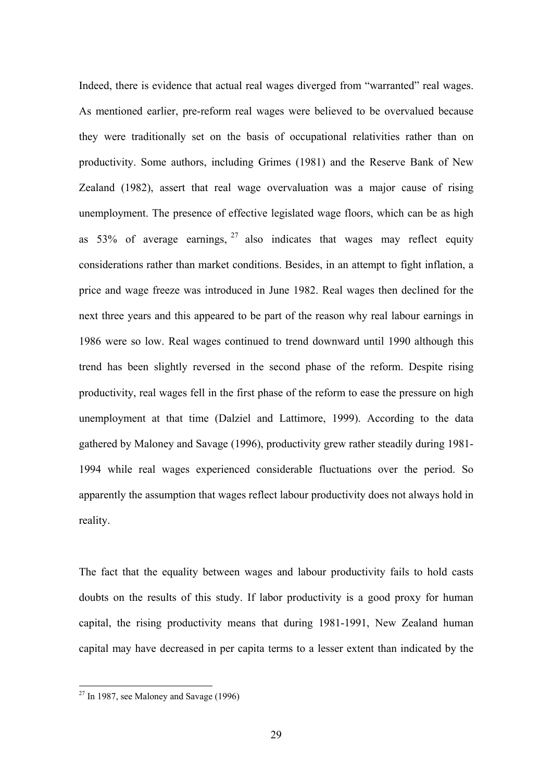Indeed, there is evidence that actual real wages diverged from "warranted" real wages. As mentioned earlier, pre-reform real wages were believed to be overvalued because they were traditionally set on the basis of occupational relativities rather than on productivity. Some authors, including Grimes (1981) and the Reserve Bank of New Zealand (1982), assert that real wage overvaluation was a major cause of rising unemployment. The presence of effective legislated wage floors, which can be as high as 53% of average earnings,  $27$  also indicates that wages may reflect equity considerations rather than market conditions. Besides, in an attempt to fight inflation, a price and wage freeze was introduced in June 1982. Real wages then declined for the next three years and this appeared to be part of the reason why real labour earnings in 1986 were so low. Real wages continued to trend downward until 1990 although this trend has been slightly reversed in the second phase of the reform. Despite rising productivity, real wages fell in the first phase of the reform to ease the pressure on high unemployment at that time (Dalziel and Lattimore, 1999). According to the data gathered by Maloney and Savage (1996), productivity grew rather steadily during 1981- 1994 while real wages experienced considerable fluctuations over the period. So apparently the assumption that wages reflect labour productivity does not always hold in reality.

The fact that the equality between wages and labour productivity fails to hold casts doubts on the results of this study. If labor productivity is a good proxy for human capital, the rising productivity means that during 1981-1991, New Zealand human capital may have decreased in per capita terms to a lesser extent than indicated by the

 $27$  In 1987, see Maloney and Savage (1996)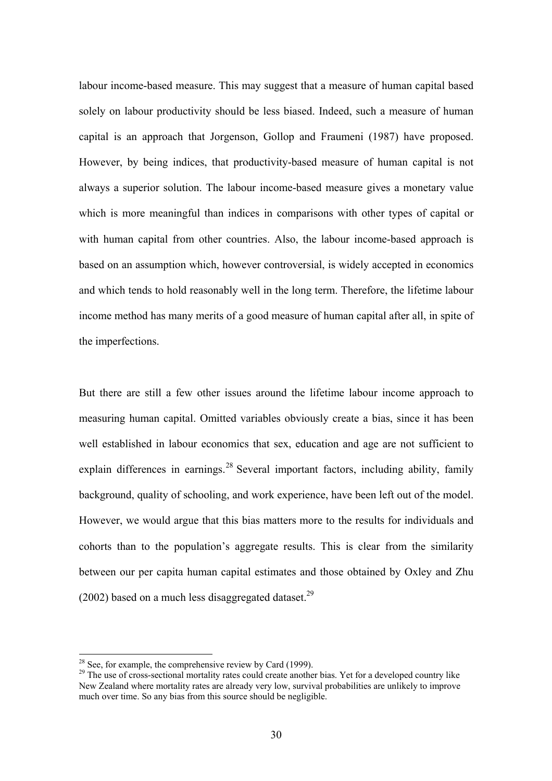labour income-based measure. This may suggest that a measure of human capital based solely on labour productivity should be less biased. Indeed, such a measure of human capital is an approach that Jorgenson, Gollop and Fraumeni (1987) have proposed. However, by being indices, that productivity-based measure of human capital is not always a superior solution. The labour income-based measure gives a monetary value which is more meaningful than indices in comparisons with other types of capital or with human capital from other countries. Also, the labour income-based approach is based on an assumption which, however controversial, is widely accepted in economics and which tends to hold reasonably well in the long term. Therefore, the lifetime labour income method has many merits of a good measure of human capital after all, in spite of the imperfections.

But there are still a few other issues around the lifetime labour income approach to measuring human capital. Omitted variables obviously create a bias, since it has been well established in labour economics that sex, education and age are not sufficient to explain differences in earnings.<sup>28</sup> Several important factors, including ability, family background, quality of schooling, and work experience, have been left out of the model. However, we would argue that this bias matters more to the results for individuals and cohorts than to the population's aggregate results. This is clear from the similarity between our per capita human capital estimates and those obtained by Oxley and Zhu (2002) based on a much less disaggregated dataset.<sup>29</sup>

<sup>&</sup>lt;sup>28</sup> See, for example, the comprehensive review by Card (1999).<br><sup>29</sup> The use of cross-sectional mortality rates could create another bias. Yet for a developed country like New Zealand where mortality rates are already very low, survival probabilities are unlikely to improve much over time. So any bias from this source should be negligible.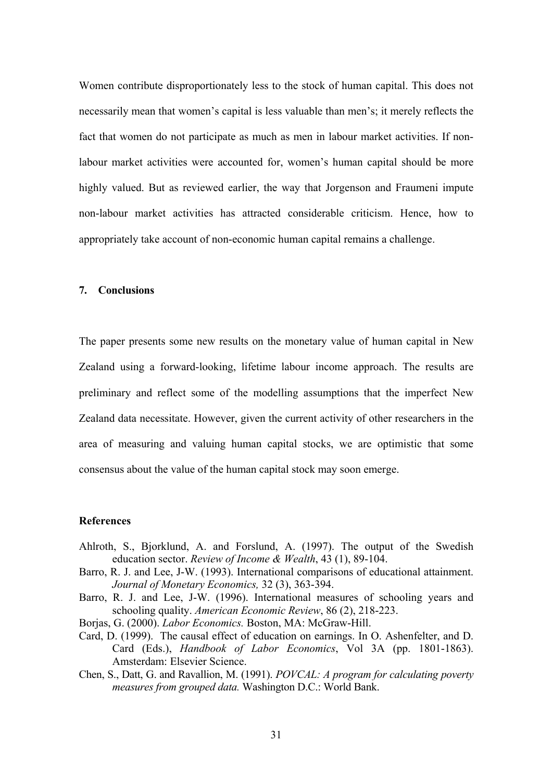Women contribute disproportionately less to the stock of human capital. This does not necessarily mean that women's capital is less valuable than men's; it merely reflects the fact that women do not participate as much as men in labour market activities. If nonlabour market activities were accounted for, women's human capital should be more highly valued. But as reviewed earlier, the way that Jorgenson and Fraumeni impute non-labour market activities has attracted considerable criticism. Hence, how to appropriately take account of non-economic human capital remains a challenge.

#### **7. Conclusions**

The paper presents some new results on the monetary value of human capital in New Zealand using a forward-looking, lifetime labour income approach. The results are preliminary and reflect some of the modelling assumptions that the imperfect New Zealand data necessitate. However, given the current activity of other researchers in the area of measuring and valuing human capital stocks, we are optimistic that some consensus about the value of the human capital stock may soon emerge.

#### **References**

- Ahlroth, S., Bjorklund, A. and Forslund, A. (1997). The output of the Swedish education sector. *Review of Income & Wealth*, 43 (1), 89-104.
- Barro, R. J. and Lee, J-W. (1993). International comparisons of educational attainment. *Journal of Monetary Economics,* 32 (3), 363-394.
- Barro, R. J. and Lee, J-W. (1996). International measures of schooling years and schooling quality. *American Economic Review*, 86 (2), 218-223.
- Borjas, G. (2000). *Labor Economics.* Boston, MA: McGraw-Hill.
- Card, D. (1999). The causal effect of education on earnings. In O. Ashenfelter, and D. Card (Eds.), *Handbook of Labor Economics*, Vol 3A (pp. 1801-1863). Amsterdam: Elsevier Science.
- Chen, S., Datt, G. and Ravallion, M. (1991). *POVCAL: A program for calculating poverty measures from grouped data.* Washington D.C.: World Bank.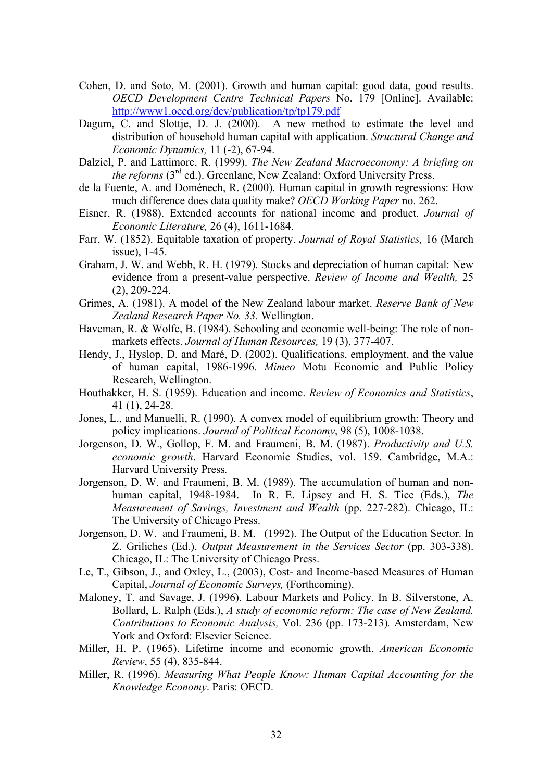- Cohen, D. and Soto, M. (2001). Growth and human capital: good data, good results. *OECD Development Centre Technical Papers* No. 179 [Online]. Available: http://www1.oecd.org/dev/publication/tp/tp179.pdf
- Dagum, C. and Slottje, D. J. (2000). A new method to estimate the level and distribution of household human capital with application. *Structural Change and Economic Dynamics,* 11 (-2), 67-94.
- Dalziel, P. and Lattimore, R. (1999). *The New Zealand Macroeconomy: A briefing on the reforms* (3<sup>rd</sup> ed.). Greenlane, New Zealand: Oxford University Press.
- de la Fuente, A. and Doménech, R. (2000). Human capital in growth regressions: How much difference does data quality make? *OECD Working Paper* no. 262.
- Eisner, R. (1988). Extended accounts for national income and product. *Journal of Economic Literature,* 26 (4), 1611-1684.
- Farr, W. (1852). Equitable taxation of property. *Journal of Royal Statistics,* 16 (March issue), 1-45.
- Graham, J. W. and Webb, R. H. (1979). Stocks and depreciation of human capital: New evidence from a present-value perspective. *Review of Income and Wealth,* 25 (2), 209-224.
- Grimes, A. (1981). A model of the New Zealand labour market. *Reserve Bank of New Zealand Research Paper No. 33.* Wellington.
- Haveman, R. & Wolfe, B. (1984). Schooling and economic well-being: The role of nonmarkets effects. *Journal of Human Resources,* 19 (3), 377-407.
- Hendy, J., Hyslop, D. and Maré, D. (2002). Qualifications, employment, and the value of human capital, 1986-1996. *Mimeo* Motu Economic and Public Policy Research, Wellington.
- Houthakker, H. S. (1959). Education and income. *Review of Economics and Statistics*, 41 (1), 24-28.
- Jones, L., and Manuelli, R. (1990). A convex model of equilibrium growth: Theory and policy implications. *Journal of Political Economy*, 98 (5), 1008-1038.
- Jorgenson, D. W., Gollop, F. M. and Fraumeni, B. M. (1987). *Productivity and U.S. economic growth*. Harvard Economic Studies, vol. 159. Cambridge, M.A.: Harvard University Press*.*
- Jorgenson, D. W. and Fraumeni, B. M. (1989). The accumulation of human and nonhuman capital, 1948-1984. In R. E. Lipsey and H. S. Tice (Eds.), *The Measurement of Savings, Investment and Wealth* (pp. 227-282). Chicago, IL: The University of Chicago Press.
- Jorgenson, D. W. and Fraumeni, B. M. (1992). The Output of the Education Sector. In Z. Griliches (Ed.), *Output Measurement in the Services Sector* (pp. 303-338). Chicago, IL: The University of Chicago Press.
- Le, T., Gibson, J., and Oxley, L., (2003), Cost- and Income-based Measures of Human Capital, *Journal of Economic Surveys,* (Forthcoming).
- Maloney, T. and Savage, J. (1996). Labour Markets and Policy. In B. Silverstone, A. Bollard, L. Ralph (Eds.), *A study of economic reform: The case of New Zealand. Contributions to Economic Analysis,* Vol. 236 (pp. 173-213)*.* Amsterdam, New York and Oxford: Elsevier Science.
- Miller, H. P. (1965). Lifetime income and economic growth. *American Economic Review*, 55 (4), 835-844.
- Miller, R. (1996). *Measuring What People Know: Human Capital Accounting for the Knowledge Economy*. Paris: OECD.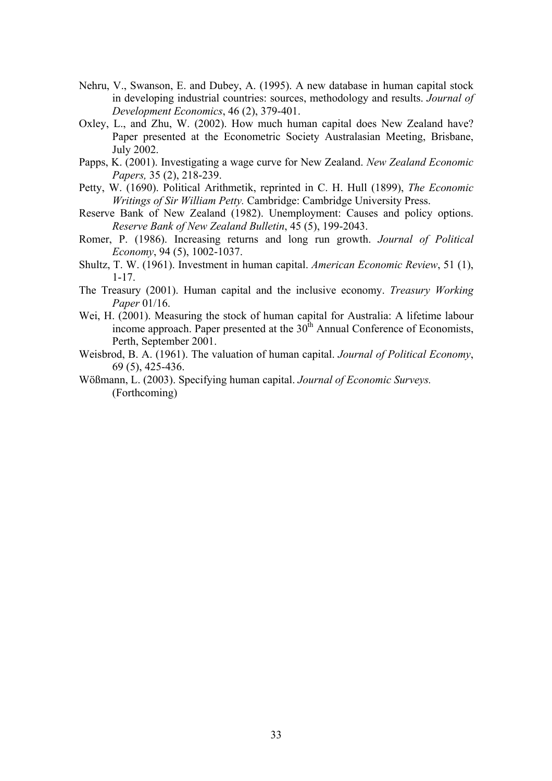- Nehru, V., Swanson, E. and Dubey, A. (1995). A new database in human capital stock in developing industrial countries: sources, methodology and results. *Journal of Development Economics*, 46 (2), 379-401.
- Oxley, L., and Zhu, W. (2002). How much human capital does New Zealand have? Paper presented at the Econometric Society Australasian Meeting, Brisbane, July 2002.
- Papps, K. (2001). Investigating a wage curve for New Zealand. *New Zealand Economic Papers,* 35 (2), 218-239.
- Petty, W. (1690). Political Arithmetik, reprinted in C. H. Hull (1899), *The Economic Writings of Sir William Petty.* Cambridge: Cambridge University Press.
- Reserve Bank of New Zealand (1982). Unemployment: Causes and policy options. *Reserve Bank of New Zealand Bulletin*, 45 (5), 199-2043.
- Romer, P. (1986). Increasing returns and long run growth. *Journal of Political Economy*, 94 (5), 1002-1037.
- Shultz, T. W. (1961). Investment in human capital. *American Economic Review*, 51 (1), 1-17.
- The Treasury (2001). Human capital and the inclusive economy. *Treasury Working Paper* 01/16.
- Wei, H. (2001). Measuring the stock of human capital for Australia: A lifetime labour income approach. Paper presented at the  $30<sup>th</sup>$  Annual Conference of Economists, Perth, September 2001.
- Weisbrod, B. A. (1961). The valuation of human capital. *Journal of Political Economy*, 69 (5), 425-436.
- Wößmann, L. (2003). Specifying human capital. *Journal of Economic Surveys.*  (Forthcoming)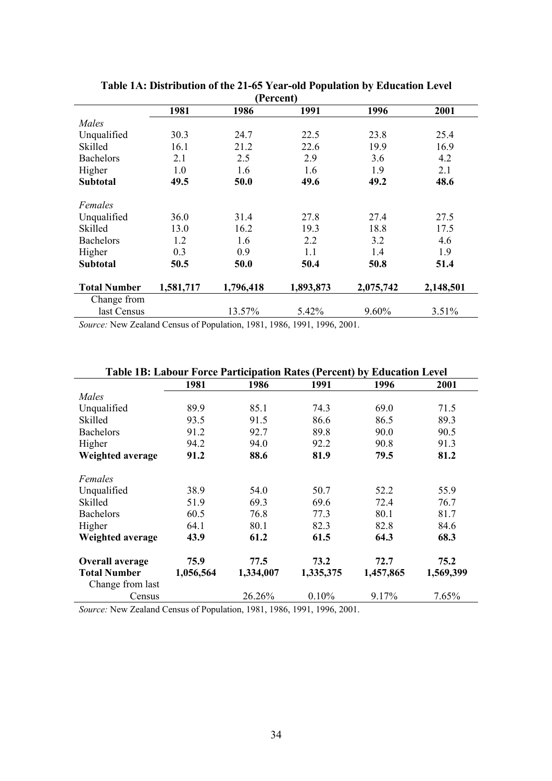| (Percent)           |           |           |           |           |           |  |  |  |  |  |
|---------------------|-----------|-----------|-----------|-----------|-----------|--|--|--|--|--|
|                     | 1981      | 1986      | 1991      | 1996      | 2001      |  |  |  |  |  |
| Males               |           |           |           |           |           |  |  |  |  |  |
| Unqualified         | 30.3      | 24.7      | 22.5      | 23.8      | 25.4      |  |  |  |  |  |
| Skilled             | 16.1      | 21.2      | 22.6      | 19.9      | 16.9      |  |  |  |  |  |
| <b>Bachelors</b>    | 2.1       | 2.5       | 2.9       | 3.6       | 4.2       |  |  |  |  |  |
| Higher              | 1.0       | 1.6       | 1.6       | 1.9       | 2.1       |  |  |  |  |  |
| <b>Subtotal</b>     | 49.5      | 50.0      | 49.6      | 49.2      | 48.6      |  |  |  |  |  |
| Females             |           |           |           |           |           |  |  |  |  |  |
| Unqualified         | 36.0      | 31.4      | 27.8      | 27.4      | 27.5      |  |  |  |  |  |
| Skilled             | 13.0      | 16.2      | 19.3      | 18.8      | 17.5      |  |  |  |  |  |
| <b>Bachelors</b>    | 1.2       | 1.6       | 2.2       | 3.2       | 4.6       |  |  |  |  |  |
| Higher              | 0.3       | 0.9       | 1.1       | 1.4       | 1.9       |  |  |  |  |  |
| <b>Subtotal</b>     | 50.5      | 50.0      | 50.4      | 50.8      | 51.4      |  |  |  |  |  |
| <b>Total Number</b> | 1,581,717 | 1,796,418 | 1,893,873 | 2,075,742 | 2,148,501 |  |  |  |  |  |
| Change from         |           |           |           |           |           |  |  |  |  |  |
| last Census         |           | 13.57%    | 5.42%     | 9.60%     | 3.51%     |  |  |  |  |  |

**Table 1A: Distribution of the 21-65 Year-old Population by Education Level** 

*Source:* New Zealand Census of Population, 1981, 1986, 1991, 1996, 2001.

| <b>Table 1B: Labour Force Participation Rates (Percent) by Education Level</b> |           |           |           |           |           |  |  |  |  |  |
|--------------------------------------------------------------------------------|-----------|-----------|-----------|-----------|-----------|--|--|--|--|--|
|                                                                                | 1981      | 1986      | 1991      | 1996      | 2001      |  |  |  |  |  |
| Males                                                                          |           |           |           |           |           |  |  |  |  |  |
| Unqualified                                                                    | 89.9      | 85.1      | 74.3      | 69.0      | 71.5      |  |  |  |  |  |
| Skilled                                                                        | 93.5      | 91.5      | 86.6      | 86.5      | 89.3      |  |  |  |  |  |
| <b>Bachelors</b>                                                               | 91.2      | 92.7      | 89.8      | 90.0      | 90.5      |  |  |  |  |  |
| Higher                                                                         | 94.2      | 94.0      | 92.2      | 90.8      | 91.3      |  |  |  |  |  |
| Weighted average                                                               | 91.2      | 88.6      | 81.9      | 79.5      | 81.2      |  |  |  |  |  |
| Females                                                                        |           |           |           |           |           |  |  |  |  |  |
| Unqualified                                                                    | 38.9      | 54.0      | 50.7      | 52.2      | 55.9      |  |  |  |  |  |
| Skilled                                                                        | 51.9      | 69.3      | 69.6      | 72.4      | 76.7      |  |  |  |  |  |
| <b>Bachelors</b>                                                               | 60.5      | 76.8      | 77.3      | 80.1      | 81.7      |  |  |  |  |  |
| Higher                                                                         | 64.1      | 80.1      | 82.3      | 82.8      | 84.6      |  |  |  |  |  |
| Weighted average                                                               | 43.9      | 61.2      | 61.5      | 64.3      | 68.3      |  |  |  |  |  |
| Overall average                                                                | 75.9      | 77.5      | 73.2      | 72.7      | 75.2      |  |  |  |  |  |
| <b>Total Number</b>                                                            | 1,056,564 | 1,334,007 | 1,335,375 | 1,457,865 | 1,569,399 |  |  |  |  |  |
| Change from last                                                               |           |           |           |           |           |  |  |  |  |  |
| Census                                                                         |           | 26.26%    | 0.10%     | 9.17%     | 7.65%     |  |  |  |  |  |

*Source:* New Zealand Census of Population, 1981, 1986, 1991, 1996, 2001.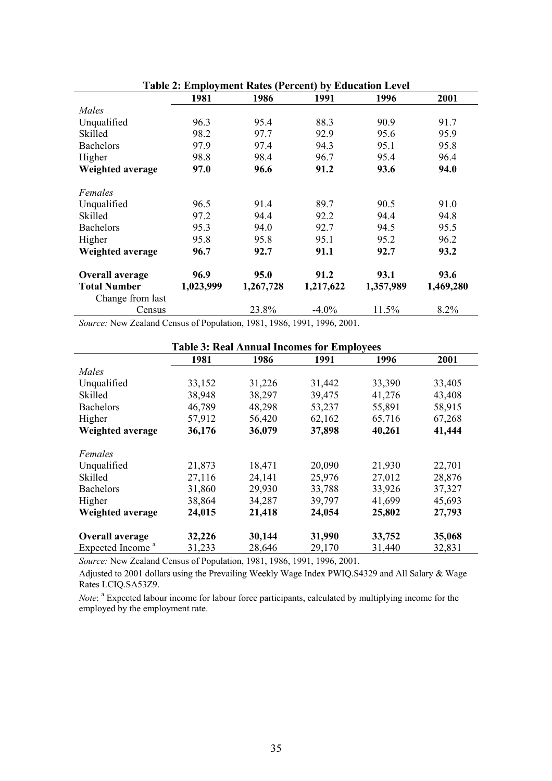|                                                   |                           |           | radic 2. Employment Rates (1 erecht) by Equeation Ecver |           |           |
|---------------------------------------------------|---------------------------|-----------|---------------------------------------------------------|-----------|-----------|
|                                                   | 1981                      | 1986      | 1991                                                    | 1996      | 2001      |
| Males                                             |                           |           |                                                         |           |           |
| Unqualified                                       | 96.3                      | 95.4      | 88.3                                                    | 90.9      | 91.7      |
| Skilled                                           | 98.2                      | 97.7      | 92.9                                                    | 95.6      | 95.9      |
| <b>Bachelors</b>                                  | 97.9                      | 97.4      | 94.3                                                    | 95.1      | 95.8      |
| Higher                                            | 98.8                      | 98.4      | 96.7                                                    | 95.4      | 96.4      |
| Weighted average                                  | 97.0                      | 96.6      | 91.2                                                    | 93.6      | 94.0      |
| Females                                           |                           |           |                                                         |           |           |
| Unqualified                                       | 96.5                      | 91.4      | 89.7                                                    | 90.5      | 91.0      |
| Skilled                                           | 97.2                      | 94.4      | 92.2                                                    | 94.4      | 94.8      |
| <b>Bachelors</b>                                  | 95.3                      | 94.0      | 92.7                                                    | 94.5      | 95.5      |
| Higher                                            | 95.8                      | 95.8      | 95.1                                                    | 95.2      | 96.2      |
| Weighted average                                  | 96.7                      | 92.7      | 91.1                                                    | 92.7      | 93.2      |
| Overall average                                   | 96.9                      | 95.0      | 91.2                                                    | 93.1      | 93.6      |
| <b>Total Number</b>                               | 1,023,999                 | 1,267,728 | 1,217,622                                               | 1,357,989 | 1,469,280 |
| Change from last                                  |                           |           |                                                         |           |           |
| Census                                            |                           | 23.8%     | $-4.0\%$                                                | 11.5%     | 8.2%      |
| $\overline{a}$ 1 1 $\overline{a}$<br>$\mathbf{A}$ | $c_{\mathbf{D}}$ $\cdots$ |           | 1001, 1005, 1001, 1005, 2001                            |           |           |

**Table 2: Employment Rates (Percent) by Education Level**

*Source:* New Zealand Census of Population, 1981, 1986, 1991, 1996, 2001.

| <b>Table 3: Real Annual Incomes for Employees</b> |        |        |        |        |        |  |  |  |  |  |
|---------------------------------------------------|--------|--------|--------|--------|--------|--|--|--|--|--|
|                                                   | 1981   | 1986   | 1991   | 1996   | 2001   |  |  |  |  |  |
| Males                                             |        |        |        |        |        |  |  |  |  |  |
| Unqualified                                       | 33,152 | 31,226 | 31,442 | 33,390 | 33,405 |  |  |  |  |  |
| Skilled                                           | 38,948 | 38,297 | 39,475 | 41,276 | 43,408 |  |  |  |  |  |
| <b>Bachelors</b>                                  | 46,789 | 48,298 | 53,237 | 55,891 | 58,915 |  |  |  |  |  |
| Higher                                            | 57,912 | 56,420 | 62,162 | 65,716 | 67,268 |  |  |  |  |  |
| Weighted average                                  | 36,176 | 36,079 | 37,898 | 40,261 | 41,444 |  |  |  |  |  |
|                                                   |        |        |        |        |        |  |  |  |  |  |
| Females                                           |        |        |        |        |        |  |  |  |  |  |
| Unqualified                                       | 21,873 | 18,471 | 20,090 | 21,930 | 22,701 |  |  |  |  |  |
| Skilled                                           | 27,116 | 24,141 | 25,976 | 27,012 | 28,876 |  |  |  |  |  |
| <b>Bachelors</b>                                  | 31,860 | 29,930 | 33,788 | 33,926 | 37,327 |  |  |  |  |  |
| Higher                                            | 38,864 | 34,287 | 39,797 | 41,699 | 45,693 |  |  |  |  |  |
| Weighted average                                  | 24,015 | 21,418 | 24,054 | 25,802 | 27,793 |  |  |  |  |  |
|                                                   |        |        |        |        |        |  |  |  |  |  |
| <b>Overall average</b>                            | 32,226 | 30,144 | 31,990 | 33,752 | 35,068 |  |  |  |  |  |
| Expected Income <sup>a</sup>                      | 31,233 | 28,646 | 29,170 | 31,440 | 32,831 |  |  |  |  |  |

*Source:* New Zealand Census of Population, 1981, 1986, 1991, 1996, 2001.

Adjusted to 2001 dollars using the Prevailing Weekly Wage Index PWIQ.S4329 and All Salary & Wage Rates LCIQ.SA53Z9.

*Note*: <sup>a</sup> Expected labour income for labour force participants, calculated by multiplying income for the employed by the employment rate.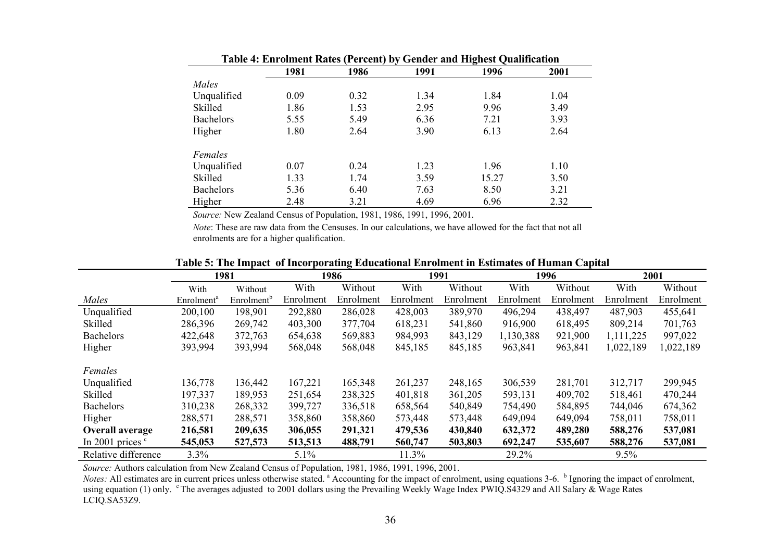| Table 4: Enrolment Rates (Percent) by Gender and Highest Qualification |      |      |      |       |      |  |  |  |  |
|------------------------------------------------------------------------|------|------|------|-------|------|--|--|--|--|
|                                                                        | 1981 | 1986 | 1991 | 1996  | 2001 |  |  |  |  |
| Males                                                                  |      |      |      |       |      |  |  |  |  |
| Unqualified                                                            | 0.09 | 0.32 | 1.34 | 1.84  | 1.04 |  |  |  |  |
| Skilled                                                                | 1.86 | 1.53 | 2.95 | 9.96  | 3.49 |  |  |  |  |
| <b>Bachelors</b>                                                       | 5.55 | 5.49 | 6.36 | 7.21  | 3.93 |  |  |  |  |
| Higher                                                                 | 1.80 | 2.64 | 3.90 | 6.13  | 2.64 |  |  |  |  |
| Females                                                                |      |      |      |       |      |  |  |  |  |
| Unqualified                                                            | 0.07 | 0.24 | 1.23 | 1.96  | 1.10 |  |  |  |  |
| Skilled                                                                | 1.33 | 1.74 | 3.59 | 15.27 | 3.50 |  |  |  |  |
| Bachelors                                                              | 5.36 | 6.40 | 7.63 | 8.50  | 3.21 |  |  |  |  |
| Higher                                                                 | 2.48 | 3.21 | 4.69 | 6.96  | 2.32 |  |  |  |  |

*Source:* New Zealand Census of Population, 1981, 1986, 1991, 1996, 2001.

*Note*: These are raw data from the Censuses. In our calculations, we have allowed for the fact that not all enrolments are for a higher qualification.

| талу э. тие нирает от неогрогаанд власаилнагвигоннен нгвэйнаасэ от гганиан сариаг |                        |                        |           |           |           |           |           |           |           |           |
|-----------------------------------------------------------------------------------|------------------------|------------------------|-----------|-----------|-----------|-----------|-----------|-----------|-----------|-----------|
|                                                                                   |                        | 1981                   |           | 1986      |           | 1991      |           | 1996      | 2001      |           |
|                                                                                   | With                   | Without                | With      | Without   | With      | Without   | With      | Without   | With      | Without   |
| Males                                                                             | Enrolment <sup>a</sup> | Enrolment <sup>o</sup> | Enrolment | Enrolment | Enrolment | Enrolment | Enrolment | Enrolment | Enrolment | Enrolment |
| Unqualified                                                                       | 200,100                | 198,901                | 292,880   | 286,028   | 428,003   | 389,970   | 496,294   | 438,497   | 487,903   | 455,641   |
| Skilled                                                                           | 286,396                | 269,742                | 403,300   | 377,704   | 618,231   | 541,860   | 916,900   | 618,495   | 809,214   | 701,763   |
| <b>Bachelors</b>                                                                  | 422,648                | 372,763                | 654,638   | 569,883   | 984,993   | 843,129   | 1,130,388 | 921,900   | 1,111,225 | 997,022   |
| Higher                                                                            | 393,994                | 393,994                | 568,048   | 568,048   | 845,185   | 845,185   | 963,841   | 963,841   | 1,022,189 | 1,022,189 |
| Females                                                                           |                        |                        |           |           |           |           |           |           |           |           |
| Unqualified                                                                       | 136,778                | 136,442                | 167,221   | 165,348   | 261,237   | 248,165   | 306,539   | 281,701   | 312,717   | 299,945   |
| Skilled                                                                           | 197,337                | 189,953                | 251,654   | 238,325   | 401,818   | 361,205   | 593,131   | 409,702   | 518,461   | 470,244   |
| <b>Bachelors</b>                                                                  | 310,238                | 268,332                | 399,727   | 336,518   | 658,564   | 540,849   | 754,490   | 584,895   | 744,046   | 674,362   |
| Higher                                                                            | 288,571                | 288,571                | 358,860   | 358,860   | 573,448   | 573,448   | 649,094   | 649,094   | 758,011   | 758,011   |
| Overall average                                                                   | 216,581                | 209,635                | 306,055   | 291,321   | 479,536   | 430,840   | 632,372   | 489,280   | 588,276   | 537,081   |
| In 2001 prices $\degree$                                                          | 545,053                | 527,573                | 513,513   | 488,791   | 560,747   | 503,803   | 692,247   | 535,607   | 588,276   | 537,081   |
| Relative difference                                                               | 3.3%                   |                        | 5.1%      |           | 11.3%     |           | 29.2%     |           | $9.5\%$   |           |

#### **Table 5: The Impact of Incorporating Educational Enrolment in Estimates of Human Capital**

*Source:* Authors calculation from New Zealand Census of Population, 1981, 1986, 1991, 1996, 2001.

*Notes:* All estimates are in current prices unless otherwise stated. <sup>a</sup> Accounting for the impact of enrolment, using equations 3-6. <sup>b</sup> Ignoring the impact of enrolment, using equation (1) only. <sup>c</sup> The averages adjusted to 2001 dollars using the Prevailing Weekly Wage Index PWIQ.S4329 and All Salary & Wage Rates LCIQ.SA53Z9.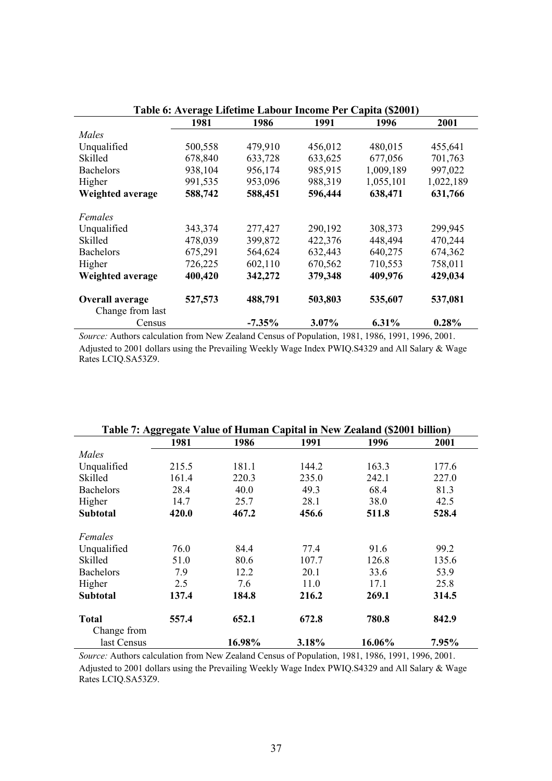| Table 6: Average Lifetime Labour Income Per Capita (\$2001) |         |           |         |           |           |  |  |  |  |
|-------------------------------------------------------------|---------|-----------|---------|-----------|-----------|--|--|--|--|
|                                                             | 1981    | 1986      | 1991    | 1996      | 2001      |  |  |  |  |
| Males                                                       |         |           |         |           |           |  |  |  |  |
| Unqualified                                                 | 500,558 | 479,910   | 456,012 | 480,015   | 455,641   |  |  |  |  |
| Skilled                                                     | 678,840 | 633,728   | 633,625 | 677,056   | 701,763   |  |  |  |  |
| <b>Bachelors</b>                                            | 938,104 | 956,174   | 985,915 | 1,009,189 | 997,022   |  |  |  |  |
| Higher                                                      | 991,535 | 953,096   | 988,319 | 1,055,101 | 1,022,189 |  |  |  |  |
| Weighted average                                            | 588,742 | 588,451   | 596,444 | 638,471   | 631,766   |  |  |  |  |
| Females                                                     |         |           |         |           |           |  |  |  |  |
| Unqualified                                                 | 343,374 | 277,427   | 290,192 | 308,373   | 299,945   |  |  |  |  |
| Skilled                                                     | 478,039 | 399,872   | 422,376 | 448,494   | 470,244   |  |  |  |  |
| <b>Bachelors</b>                                            | 675,291 | 564,624   | 632,443 | 640,275   | 674,362   |  |  |  |  |
| Higher                                                      | 726,225 | 602,110   | 670,562 | 710,553   | 758,011   |  |  |  |  |
| Weighted average                                            | 400,420 | 342,272   | 379,348 | 409,976   | 429,034   |  |  |  |  |
| Overall average<br>Change from last                         | 527,573 | 488,791   | 503,803 | 535,607   | 537,081   |  |  |  |  |
| Census                                                      |         | $-7.35\%$ | 3.07%   | 6.31%     | 0.28%     |  |  |  |  |

*Source:* Authors calculation from New Zealand Census of Population, 1981, 1986, 1991, 1996, 2001. Adjusted to 2001 dollars using the Prevailing Weekly Wage Index PWIQ.S4329 and All Salary & Wage Rates LCIQ.SA53Z9.

| Table 7: Aggregate Value of Human Capital in New Zealand (\$2001 billion) |       |        |       |        |       |  |  |  |  |
|---------------------------------------------------------------------------|-------|--------|-------|--------|-------|--|--|--|--|
|                                                                           | 1981  | 1986   | 1991  | 1996   | 2001  |  |  |  |  |
| Males                                                                     |       |        |       |        |       |  |  |  |  |
| Unqualified                                                               | 215.5 | 181.1  | 144.2 | 163.3  | 177.6 |  |  |  |  |
| Skilled                                                                   | 161.4 | 220.3  | 235.0 | 242.1  | 227.0 |  |  |  |  |
| <b>Bachelors</b>                                                          | 28.4  | 40.0   | 49.3  | 68.4   | 81.3  |  |  |  |  |
| Higher                                                                    | 14.7  | 25.7   | 28.1  | 38.0   | 42.5  |  |  |  |  |
| <b>Subtotal</b>                                                           | 420.0 | 467.2  | 456.6 | 511.8  | 528.4 |  |  |  |  |
| Females                                                                   |       |        |       |        |       |  |  |  |  |
| Unqualified                                                               | 76.0  | 84.4   | 77.4  | 91.6   | 99.2  |  |  |  |  |
| Skilled                                                                   | 51.0  | 80.6   | 107.7 | 126.8  | 135.6 |  |  |  |  |
| <b>Bachelors</b>                                                          | 7.9   | 12.2   | 20.1  | 33.6   | 53.9  |  |  |  |  |
| Higher                                                                    | 2.5   | 7.6    | 11.0  | 17.1   | 25.8  |  |  |  |  |
| <b>Subtotal</b>                                                           | 137.4 | 184.8  | 216.2 | 269.1  | 314.5 |  |  |  |  |
| <b>Total</b>                                                              | 557.4 | 652.1  | 672.8 | 780.8  | 842.9 |  |  |  |  |
| Change from                                                               |       |        |       |        |       |  |  |  |  |
| last Census                                                               |       | 16.98% | 3.18% | 16.06% | 7.95% |  |  |  |  |

*Source:* Authors calculation from New Zealand Census of Population, 1981, 1986, 1991, 1996, 2001. Adjusted to 2001 dollars using the Prevailing Weekly Wage Index PWIQ.S4329 and All Salary & Wage Rates LCIQ.SA53Z9.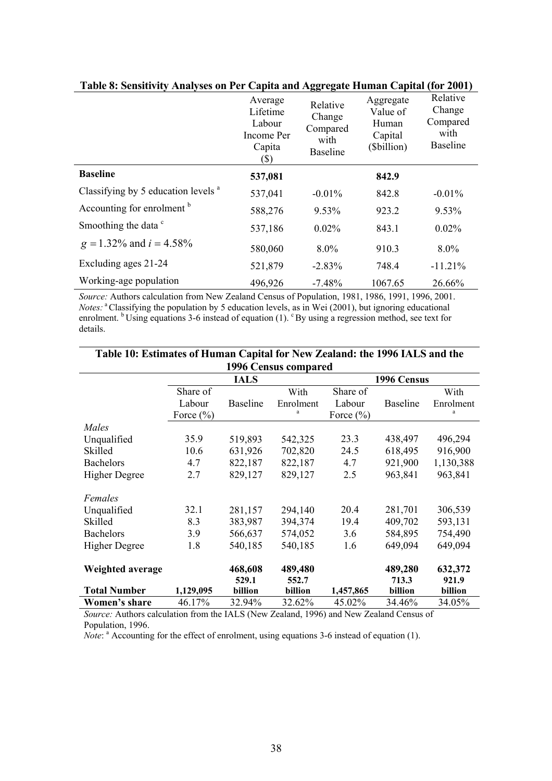|                                                | Average<br>Lifetime<br>Labour<br>Income Per<br>Capita<br>(\$) | Relative<br>Change<br>Compared<br>with<br><b>Baseline</b> | Aggregate<br>Value of<br>Human<br>Capital<br>(\$billion) | Relative<br>Change<br>Compared<br>with<br><b>Baseline</b> |
|------------------------------------------------|---------------------------------------------------------------|-----------------------------------------------------------|----------------------------------------------------------|-----------------------------------------------------------|
| <b>Baseline</b>                                | 537,081                                                       |                                                           | 842.9                                                    |                                                           |
| Classifying by 5 education levels <sup>a</sup> | 537,041                                                       | $-0.01\%$                                                 | 842.8                                                    | $-0.01\%$                                                 |
| Accounting for enrolment <sup>b</sup>          | 588,276                                                       | 9.53%                                                     | 923.2                                                    | 9.53%                                                     |
| Smoothing the data <sup>c</sup>                | 537,186                                                       | 0.02%                                                     | 843.1                                                    | 0.02%                                                     |
| $g = 1.32\%$ and $i = 4.58\%$                  | 580,060                                                       | $8.0\%$                                                   | 910.3                                                    | 8.0%                                                      |
| Excluding ages 21-24                           | 521,879                                                       | $-2.83%$                                                  | 748.4                                                    | $-11.21%$                                                 |
| Working-age population                         | 496,926                                                       | $-7.48\%$                                                 | 1067.65                                                  | 26.66%                                                    |

# **Table 8: Sensitivity Analyses on Per Capita and Aggregate Human Capital (for 2001)**

*Source:* Authors calculation from New Zealand Census of Population, 1981, 1986, 1991, 1996, 2001. *Notes:* <sup>a</sup> Classifying the population by 5 education levels, as in Wei (2001), but ignoring educational enrolment. <sup>b</sup> Using equations 3-6 instead of equation (1). <sup>c</sup> By using a regression method, see text for details.

| Table 10: Estimates of Human Capital for New Zealand: the 1996 IALS and the |               |                  |                             |               |                  |                  |  |  |  |  |
|-----------------------------------------------------------------------------|---------------|------------------|-----------------------------|---------------|------------------|------------------|--|--|--|--|
|                                                                             |               |                  | <b>1996 Census compared</b> |               |                  |                  |  |  |  |  |
|                                                                             |               | <b>IALS</b>      |                             | 1996 Census   |                  |                  |  |  |  |  |
|                                                                             | Share of      |                  | With                        | Share of      |                  | With             |  |  |  |  |
|                                                                             | Labour        | <b>Baseline</b>  | Enrolment                   | Labour        | <b>Baseline</b>  | Enrolment        |  |  |  |  |
|                                                                             | Force $(\% )$ |                  | a                           | Force $(\% )$ |                  | a                |  |  |  |  |
| Males                                                                       |               |                  |                             |               |                  |                  |  |  |  |  |
| Unqualified                                                                 | 35.9          | 519,893          | 542,325                     | 23.3          | 438,497          | 496,294          |  |  |  |  |
| Skilled                                                                     | 10.6          | 631,926          | 702,820                     | 24.5          | 618,495          | 916,900          |  |  |  |  |
| <b>Bachelors</b>                                                            | 4.7           | 822,187          | 822,187                     | 4.7           | 921,900          | 1,130,388        |  |  |  |  |
| <b>Higher Degree</b>                                                        | 2.7           | 829,127          | 829,127                     | 2.5           | 963,841          | 963,841          |  |  |  |  |
| Females                                                                     |               |                  |                             |               |                  |                  |  |  |  |  |
| Unqualified                                                                 | 32.1          | 281,157          | 294,140                     | 20.4          | 281,701          | 306,539          |  |  |  |  |
| Skilled                                                                     | 8.3           | 383,987          | 394,374                     | 19.4          | 409,702          | 593,131          |  |  |  |  |
| <b>Bachelors</b>                                                            | 3.9           | 566,637          | 574,052                     | 3.6           | 584,895          | 754,490          |  |  |  |  |
| <b>Higher Degree</b>                                                        | 1.8           | 540,185          | 540,185                     | 1.6           | 649,094          | 649,094          |  |  |  |  |
| Weighted average                                                            |               | 468,608<br>529.1 | 489,480<br>552.7            |               | 489,280<br>713.3 | 632,372<br>921.9 |  |  |  |  |
| <b>Total Number</b>                                                         | 1,129,095     | billion          | billion                     | 1,457,865     | billion          | billion          |  |  |  |  |
| Women's share                                                               | 46.17%        | 32.94%           | 32.62%                      | 45.02%        | 34.46%           | 34.05%           |  |  |  |  |

**Table 10: Estimates of Human Capital for New Zealand: the 1996 IALS and the** 

*Source:* Authors calculation from the IALS (New Zealand, 1996) and New Zealand Census of Population, 1996.

*Note*: <sup>a</sup> Accounting for the effect of enrolment, using equations 3-6 instead of equation (1).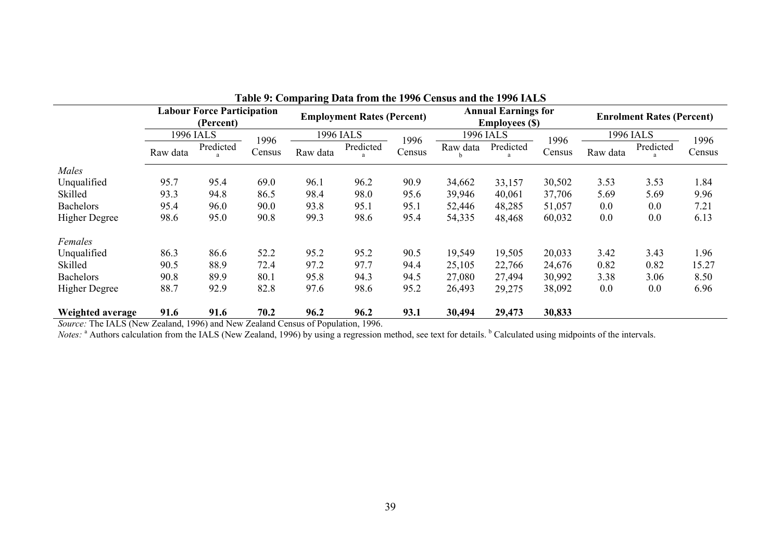|                      | l'able 9: Comparing Data from the 1996 Census and the 1996 IALS |           |        |                                   |           |                                                     |          |           |                                  |          |           |        |
|----------------------|-----------------------------------------------------------------|-----------|--------|-----------------------------------|-----------|-----------------------------------------------------|----------|-----------|----------------------------------|----------|-----------|--------|
|                      | <b>Labour Force Participation</b><br>(Percent)                  |           |        | <b>Employment Rates (Percent)</b> |           | <b>Annual Earnings for</b><br><b>Employees</b> (\$) |          |           | <b>Enrolment Rates (Percent)</b> |          |           |        |
|                      |                                                                 | 1996 IALS | 1996   |                                   | 1996 IALS | 1996                                                |          | 1996 IALS | 1996                             |          | 1996 IALS | 1996   |
|                      | Raw data                                                        | Predicted | Census | Raw data                          | Predicted | Census                                              | Raw data | Predicted | Census                           | Raw data | Predicted | Census |
| Males                |                                                                 |           |        |                                   |           |                                                     |          |           |                                  |          |           |        |
| Unqualified          | 95.7                                                            | 95.4      | 69.0   | 96.1                              | 96.2      | 90.9                                                | 34,662   | 33,157    | 30,502                           | 3.53     | 3.53      | 1.84   |
| Skilled              | 93.3                                                            | 94.8      | 86.5   | 98.4                              | 98.0      | 95.6                                                | 39,946   | 40,061    | 37,706                           | 5.69     | 5.69      | 9.96   |
| <b>Bachelors</b>     | 95.4                                                            | 96.0      | 90.0   | 93.8                              | 95.1      | 95.1                                                | 52,446   | 48,285    | 51,057                           | 0.0      | 0.0       | 7.21   |
| <b>Higher Degree</b> | 98.6                                                            | 95.0      | 90.8   | 99.3                              | 98.6      | 95.4                                                | 54,335   | 48,468    | 60,032                           | 0.0      | 0.0       | 6.13   |
| Females              |                                                                 |           |        |                                   |           |                                                     |          |           |                                  |          |           |        |
| Unqualified          | 86.3                                                            | 86.6      | 52.2   | 95.2                              | 95.2      | 90.5                                                | 19,549   | 19,505    | 20,033                           | 3.42     | 3.43      | 1.96   |
| Skilled              | 90.5                                                            | 88.9      | 72.4   | 97.2                              | 97.7      | 94.4                                                | 25,105   | 22,766    | 24,676                           | 0.82     | 0.82      | 15.27  |
| <b>Bachelors</b>     | 90.8                                                            | 89.9      | 80.1   | 95.8                              | 94.3      | 94.5                                                | 27,080   | 27,494    | 30,992                           | 3.38     | 3.06      | 8.50   |
| <b>Higher Degree</b> | 88.7                                                            | 92.9      | 82.8   | 97.6                              | 98.6      | 95.2                                                | 26,493   | 29,275    | 38,092                           | 0.0      | 0.0       | 6.96   |
| Weighted average     | 91.6                                                            | 91.6      | 70.2   | 96.2                              | 96.2      | 93.1                                                | 30,494   | 29,473    | 30,833                           |          |           |        |

**Table 9: Comparing Data from the 1996 Census and the 1996 IALS** 

*Source:* The IALS (New Zealand, 1996) and New Zealand Census of Population, 1996.

*Notes*: <sup>a</sup> Authors calculation from the IALS (New Zealand, 1996) by using a regression method, see text for details. <sup>b</sup> Calculated using midpoints of the intervals.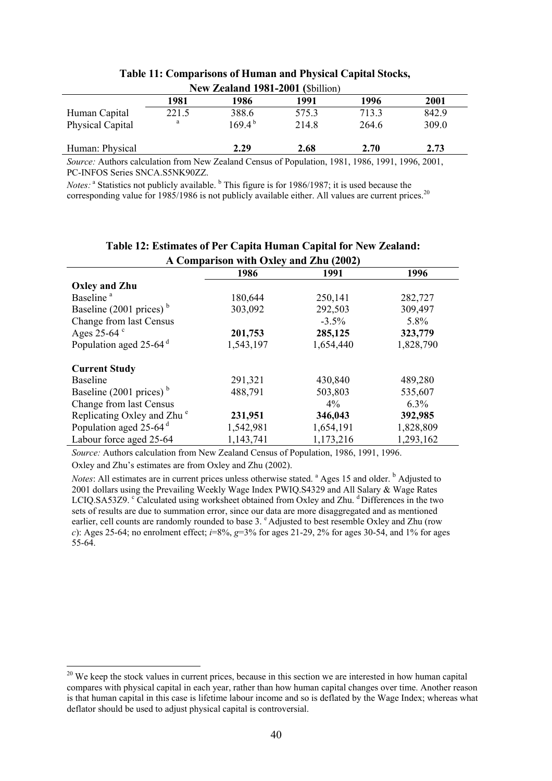|                         |       | INEW LEARANG 1981-2001 (SOIHION) |       |       |       |  |
|-------------------------|-------|----------------------------------|-------|-------|-------|--|
|                         | 1981  | 1986                             | 1991  | 1996  | 2001  |  |
| Human Capital           | 221.5 | 388.6                            | 575.3 | 713.3 | 842.9 |  |
| <b>Physical Capital</b> | a     | $169.4^{b}$                      | 214.8 | 264.6 | 309.0 |  |
| Human: Physical         |       | 2.29                             | 2.68  | 2.70  | 2.73  |  |

#### **Table 11: Comparisons of Human and Physical Capital Stocks, New Zealand 1981-2001 (**\$billion)

*Source:* Authors calculation from New Zealand Census of Population, 1981, 1986, 1991, 1996, 2001, PC-INFOS Series SNCA.S5NK90ZZ.

*Notes*: <sup>a</sup> Statistics not publicly available. <sup>b</sup> This figure is for 1986/1987; it is used because the corresponding value for 1985/1986 is not publicly available either. All values are current prices.<sup>20</sup>

| A Comparison with Oxley and Zhu (2002) |           |           |           |  |  |
|----------------------------------------|-----------|-----------|-----------|--|--|
|                                        | 1986      | 1991      | 1996      |  |  |
| <b>Oxley and Zhu</b>                   |           |           |           |  |  |
| Baseline <sup>a</sup>                  | 180,644   | 250,141   | 282,727   |  |  |
| Baseline $(2001 \text{ prices})^b$     | 303,092   | 292,503   | 309,497   |  |  |
| Change from last Census                |           | $-3.5\%$  | 5.8%      |  |  |
| Ages 25-64 $\degree$                   | 201,753   | 285,125   | 323,779   |  |  |
| Population aged 25-64 <sup>d</sup>     | 1,543,197 | 1,654,440 | 1,828,790 |  |  |
| <b>Current Study</b>                   |           |           |           |  |  |
| <b>Baseline</b>                        | 291,321   | 430,840   | 489,280   |  |  |
| Baseline (2001 prices) $b$             | 488,791   | 503,803   | 535,607   |  |  |
| Change from last Census                |           | $4\%$     | $6.3\%$   |  |  |
| Replicating Oxley and Zhu <sup>e</sup> | 231,951   | 346,043   | 392,985   |  |  |
| Population aged $25-64$ <sup>d</sup>   | 1,542,981 | 1,654,191 | 1,828,809 |  |  |
| Labour force aged 25-64                | 1,143,741 | 1,173,216 | 1,293,162 |  |  |

# **Table 12: Estimates of Per Capita Human Capital for New Zealand:**

*Source:* Authors calculation from New Zealand Census of Population, 1986, 1991, 1996. Oxley and Zhu's estimates are from Oxley and Zhu (2002).

*Notes*: All estimates are in current prices unless otherwise stated. <sup>a</sup> Ages 15 and older. <sup>b</sup> Adjusted to 2001 dollars using the Prevailing Weekly Wage Index PWIQ.S4329 and All Salary & Wage Rates LCIQ.SA53Z9. <sup>c</sup> Calculated using worksheet obtained from Oxley and Zhu. <sup>d</sup> Differences in the two sets of results are due to summation error, since our data are more disaggregated and as mentioned earlier, cell counts are randomly rounded to base 3. <sup>e</sup> Adjusted to best resemble Oxley and Zhu (row *c*): Ages 25-64; no enrolment effect; *i*=8%, *g*=3% for ages 21-29, 2% for ages 30-54, and 1% for ages 55-64.

<sup>&</sup>lt;sup>20</sup> We keep the stock values in current prices, because in this section we are interested in how human capital compares with physical capital in each year, rather than how human capital changes over time. Another reason is that human capital in this case is lifetime labour income and so is deflated by the Wage Index; whereas what deflator should be used to adjust physical capital is controversial.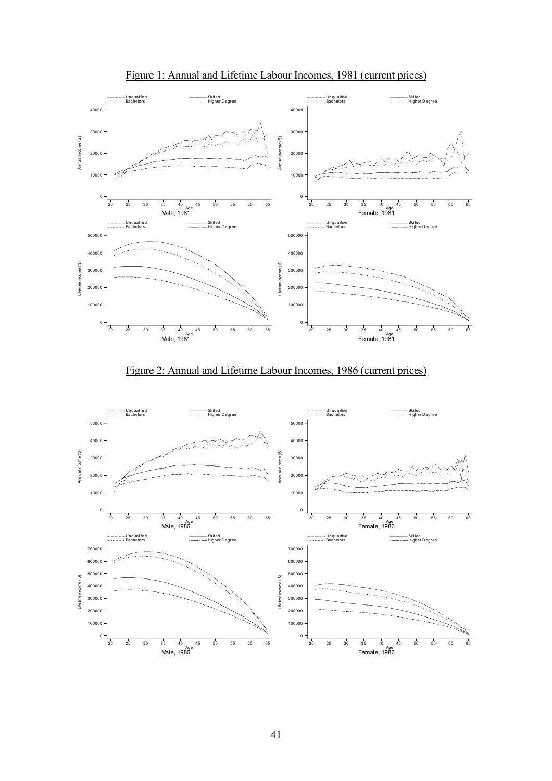

Figure 1: Annual and Lifetime Labour Incomes, 1981 (current prices)



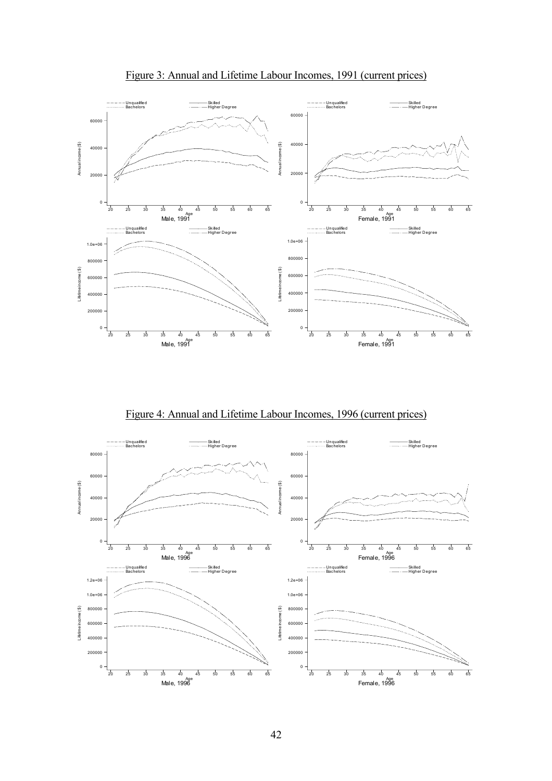

Figure 3: Annual and Lifetime Labour Incomes, 1991 (current prices)

Figure 4: Annual and Lifetime Labour Incomes, 1996 (current prices)

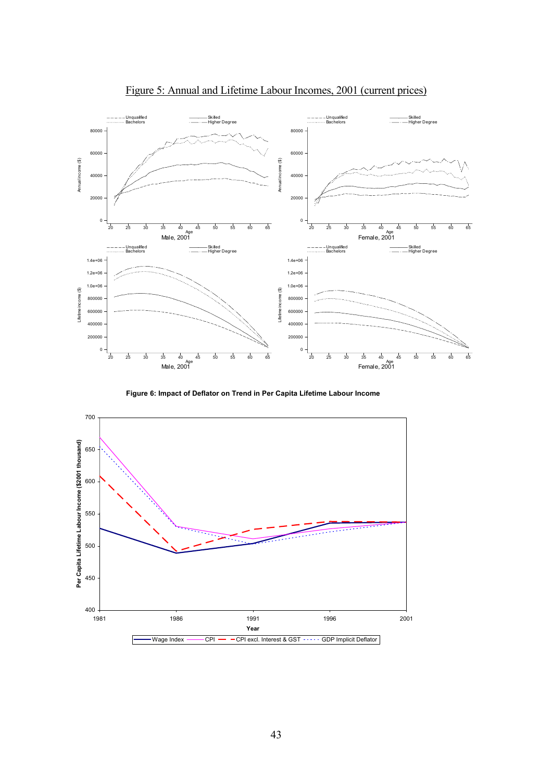

Figure 5: Annual and Lifetime Labour Incomes, 2001 (current prices)

**Figure 6: Impact of Deflator on Trend in Per Capita Lifetime Labour Income**

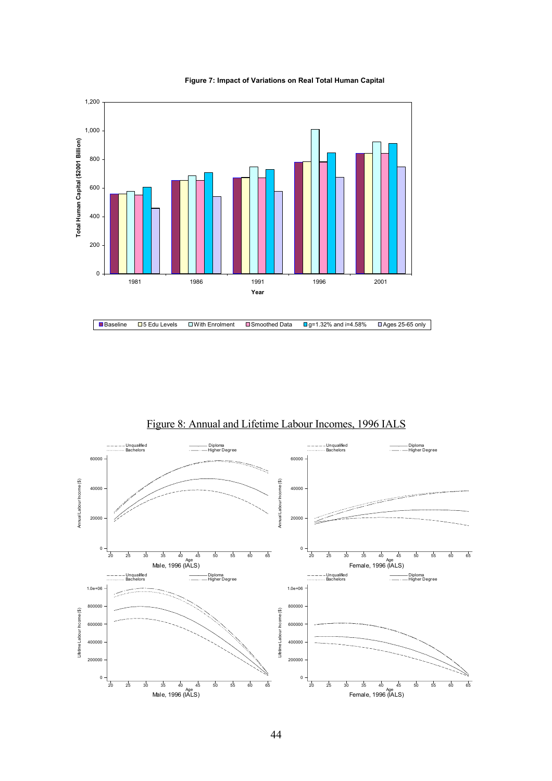

**Figure 7: Impact of Variations on Real Total Human Capital**



Figure 8: Annual and Lifetime Labour Incomes, 1996 IALS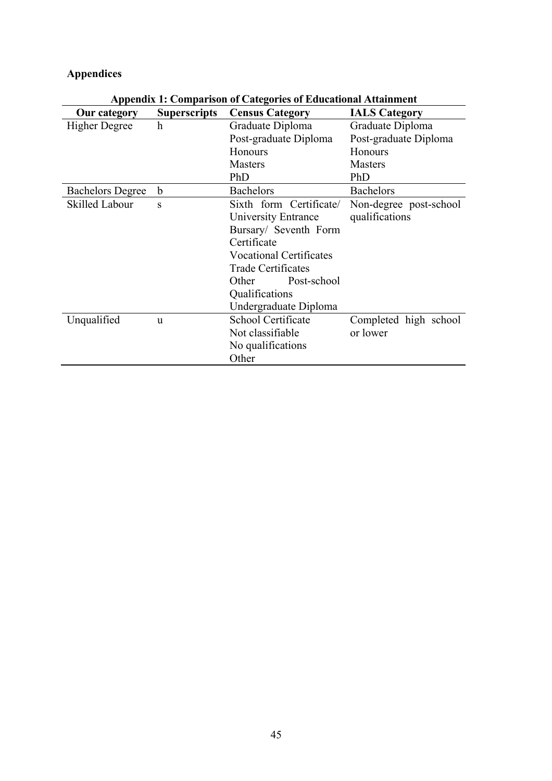# **Appendices**

| <b>Our category</b>     | <b>Superscripts</b> | <b>Census Category</b>         | <b>IALS Category</b>   |
|-------------------------|---------------------|--------------------------------|------------------------|
| <b>Higher Degree</b>    | h                   | Graduate Diploma               | Graduate Diploma       |
|                         |                     | Post-graduate Diploma          | Post-graduate Diploma  |
|                         |                     | <b>Honours</b>                 | <b>Honours</b>         |
|                         |                     | Masters                        | <b>Masters</b>         |
|                         |                     | PhD                            | PhD                    |
| <b>Bachelors Degree</b> | b                   | <b>Bachelors</b>               | <b>Bachelors</b>       |
| <b>Skilled Labour</b>   | S                   | Sixth form Certificate/        | Non-degree post-school |
|                         |                     | University Entrance            | qualifications         |
|                         |                     | Bursary/ Seventh Form          |                        |
|                         |                     | Certificate                    |                        |
|                         |                     | <b>Vocational Certificates</b> |                        |
|                         |                     | <b>Trade Certificates</b>      |                        |
|                         |                     | Other<br>Post-school           |                        |
|                         |                     | Qualifications                 |                        |
|                         |                     | Undergraduate Diploma          |                        |
| Unqualified             | u                   | School Certificate             | Completed high school  |
|                         |                     | Not classifiable               | or lower               |
|                         |                     | No qualifications              |                        |
|                         |                     | Other                          |                        |

**Appendix 1: Comparison of Categories of Educational Attainment**